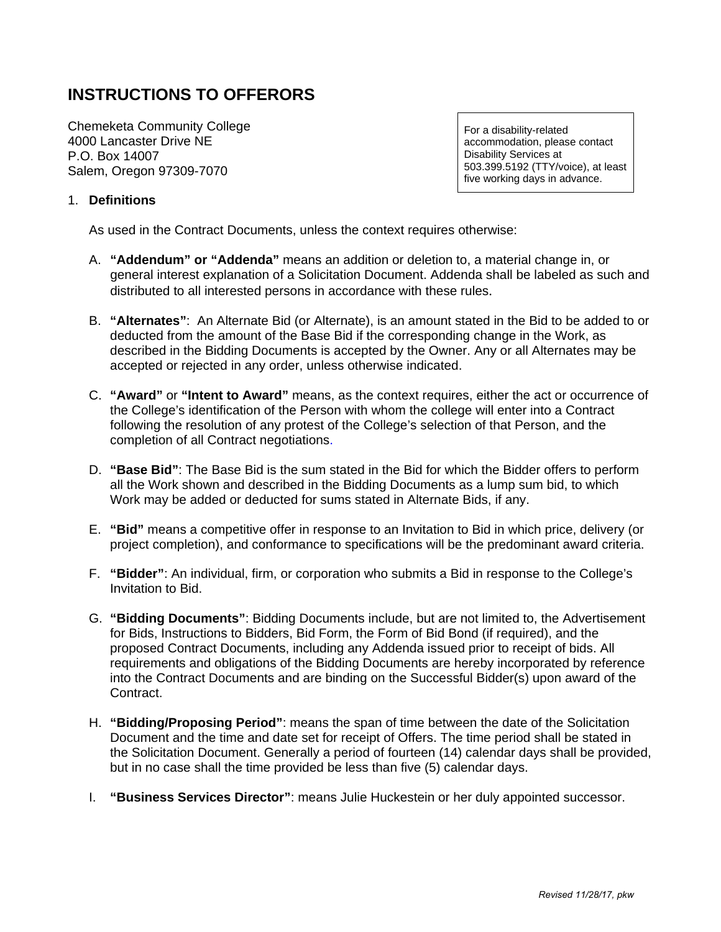# **INSTRUCTIONS TO OFFERORS**

Chemeketa Community College 4000 Lancaster Drive NE P.O. Box 14007 Salem, Oregon 97309-7070

For a disability-related accommodation, please contact Disability Services at 503.399.5192 (TTY/voice), at least five working days in advance.

# 1. **Definitions**

As used in the Contract Documents, unless the context requires otherwise:

- A. **"Addendum" or "Addenda"** means an addition or deletion to, a material change in, or general interest explanation of a Solicitation Document. Addenda shall be labeled as such and distributed to all interested persons in accordance with these rules.
- B. **"Alternates"**: An Alternate Bid (or Alternate), is an amount stated in the Bid to be added to or deducted from the amount of the Base Bid if the corresponding change in the Work, as described in the Bidding Documents is accepted by the Owner. Any or all Alternates may be accepted or rejected in any order, unless otherwise indicated.
- C. **"Award"** or **"Intent to Award"** means, as the context requires, either the act or occurrence of the College's identification of the Person with whom the college will enter into a Contract following the resolution of any protest of the College's selection of that Person, and the completion of all Contract negotiations.
- D. **"Base Bid"**: The Base Bid is the sum stated in the Bid for which the Bidder offers to perform all the Work shown and described in the Bidding Documents as a lump sum bid, to which Work may be added or deducted for sums stated in Alternate Bids, if any.
- E. **"Bid"** means a competitive offer in response to an Invitation to Bid in which price, delivery (or project completion), and conformance to specifications will be the predominant award criteria.
- F. **"Bidder"**: An individual, firm, or corporation who submits a Bid in response to the College's Invitation to Bid.
- G. **"Bidding Documents"**: Bidding Documents include, but are not limited to, the Advertisement for Bids, Instructions to Bidders, Bid Form, the Form of Bid Bond (if required), and the proposed Contract Documents, including any Addenda issued prior to receipt of bids. All requirements and obligations of the Bidding Documents are hereby incorporated by reference into the Contract Documents and are binding on the Successful Bidder(s) upon award of the Contract.
- H. **"Bidding/Proposing Period"**: means the span of time between the date of the Solicitation Document and the time and date set for receipt of Offers. The time period shall be stated in the Solicitation Document. Generally a period of fourteen (14) calendar days shall be provided, but in no case shall the time provided be less than five (5) calendar days.
- I. **"Business Services Director"**: means Julie Huckestein or her duly appointed successor.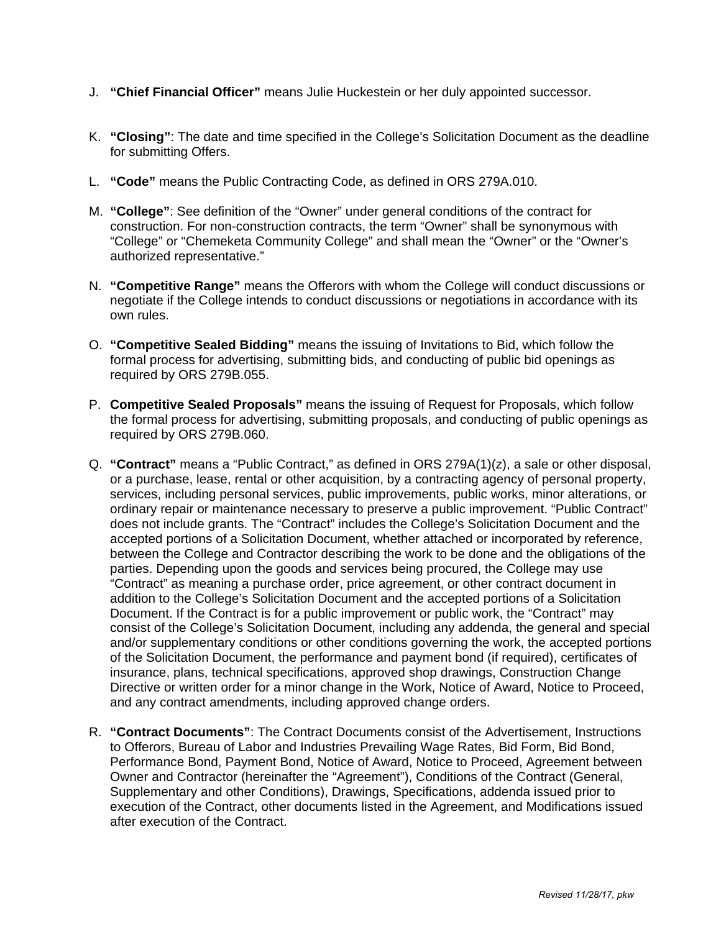- J. **"Chief Financial Officer"** means Julie Huckestein or her duly appointed successor.
- K. **"Closing"**: The date and time specified in the College's Solicitation Document as the deadline for submitting Offers.
- L. **"Code"** means the Public Contracting Code, as defined in ORS 279A.010.
- M. **"College"**: See definition of the "Owner" under general conditions of the contract for construction. For non-construction contracts, the term "Owner" shall be synonymous with "College" or "Chemeketa Community College" and shall mean the "Owner" or the "Owner's authorized representative."
- N. **"Competitive Range"** means the Offerors with whom the College will conduct discussions or negotiate if the College intends to conduct discussions or negotiations in accordance with its own rules.
- O. **"Competitive Sealed Bidding"** means the issuing of Invitations to Bid, which follow the formal process for advertising, submitting bids, and conducting of public bid openings as required by ORS 279B.055.
- P. **Competitive Sealed Proposals"** means the issuing of Request for Proposals, which follow the formal process for advertising, submitting proposals, and conducting of public openings as required by ORS 279B.060.
- Q. **"Contract"** means a "Public Contract," as defined in ORS 279A(1)(z), a sale or other disposal, or a purchase, lease, rental or other acquisition, by a contracting agency of personal property, services, including personal services, public improvements, public works, minor alterations, or ordinary repair or maintenance necessary to preserve a public improvement. "Public Contract" does not include grants. The "Contract" includes the College's Solicitation Document and the accepted portions of a Solicitation Document, whether attached or incorporated by reference, between the College and Contractor describing the work to be done and the obligations of the parties. Depending upon the goods and services being procured, the College may use "Contract" as meaning a purchase order, price agreement, or other contract document in addition to the College's Solicitation Document and the accepted portions of a Solicitation Document. If the Contract is for a public improvement or public work, the "Contract" may consist of the College's Solicitation Document, including any addenda, the general and special and/or supplementary conditions or other conditions governing the work, the accepted portions of the Solicitation Document, the performance and payment bond (if required), certificates of insurance, plans, technical specifications, approved shop drawings, Construction Change Directive or written order for a minor change in the Work, Notice of Award, Notice to Proceed, and any contract amendments, including approved change orders.
- R. **"Contract Documents"**: The Contract Documents consist of the Advertisement, Instructions to Offerors, Bureau of Labor and Industries Prevailing Wage Rates, Bid Form, Bid Bond, Performance Bond, Payment Bond, Notice of Award, Notice to Proceed, Agreement between Owner and Contractor (hereinafter the "Agreement"), Conditions of the Contract (General, Supplementary and other Conditions), Drawings, Specifications, addenda issued prior to execution of the Contract, other documents listed in the Agreement, and Modifications issued after execution of the Contract.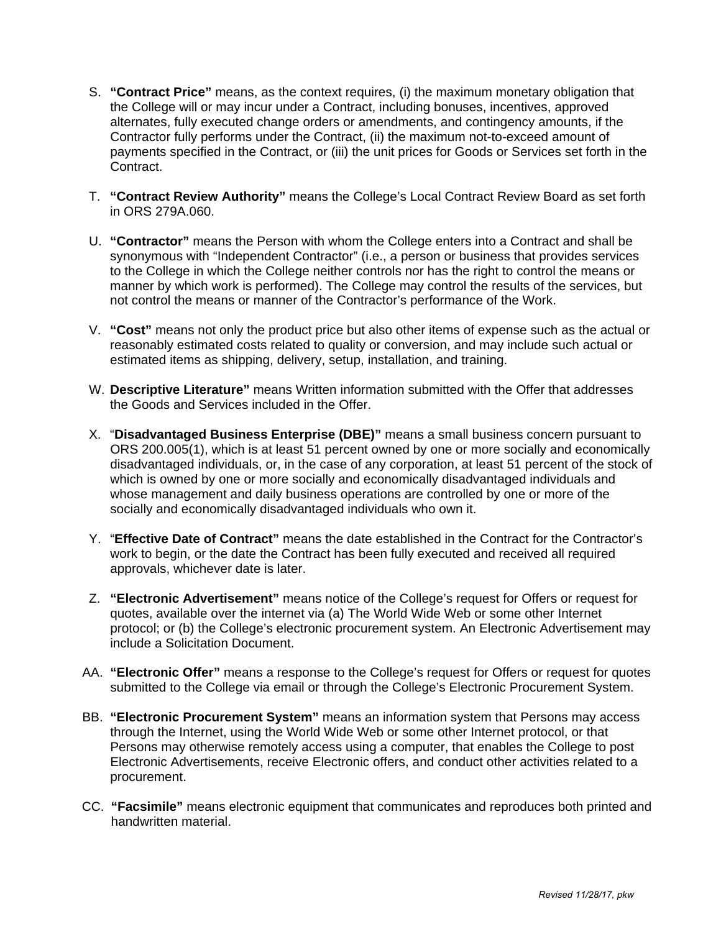- S. **"Contract Price"** means, as the context requires, (i) the maximum monetary obligation that the College will or may incur under a Contract, including bonuses, incentives, approved alternates, fully executed change orders or amendments, and contingency amounts, if the Contractor fully performs under the Contract, (ii) the maximum not-to-exceed amount of payments specified in the Contract, or (iii) the unit prices for Goods or Services set forth in the Contract.
- T. **"Contract Review Authority"** means the College's Local Contract Review Board as set forth in ORS 279A.060.
- U. **"Contractor"** means the Person with whom the College enters into a Contract and shall be synonymous with "Independent Contractor" (i.e., a person or business that provides services to the College in which the College neither controls nor has the right to control the means or manner by which work is performed). The College may control the results of the services, but not control the means or manner of the Contractor's performance of the Work.
- V. **"Cost"** means not only the product price but also other items of expense such as the actual or reasonably estimated costs related to quality or conversion, and may include such actual or estimated items as shipping, delivery, setup, installation, and training.
- W. **Descriptive Literature"** means Written information submitted with the Offer that addresses the Goods and Services included in the Offer.
- X. "**Disadvantaged Business Enterprise (DBE)"** means a small business concern pursuant to ORS 200.005(1), which is at least 51 percent owned by one or more socially and economically disadvantaged individuals, or, in the case of any corporation, at least 51 percent of the stock of which is owned by one or more socially and economically disadvantaged individuals and whose management and daily business operations are controlled by one or more of the socially and economically disadvantaged individuals who own it.
- Y. "**Effective Date of Contract"** means the date established in the Contract for the Contractor's work to begin, or the date the Contract has been fully executed and received all required approvals, whichever date is later.
- Z. **"Electronic Advertisement"** means notice of the College's request for Offers or request for quotes, available over the internet via (a) The World Wide Web or some other Internet protocol; or (b) the College's electronic procurement system. An Electronic Advertisement may include a Solicitation Document.
- AA. **"Electronic Offer"** means a response to the College's request for Offers or request for quotes submitted to the College via email or through the College's Electronic Procurement System.
- BB. **"Electronic Procurement System"** means an information system that Persons may access through the Internet, using the World Wide Web or some other Internet protocol, or that Persons may otherwise remotely access using a computer, that enables the College to post Electronic Advertisements, receive Electronic offers, and conduct other activities related to a procurement.
- CC. **"Facsimile"** means electronic equipment that communicates and reproduces both printed and handwritten material.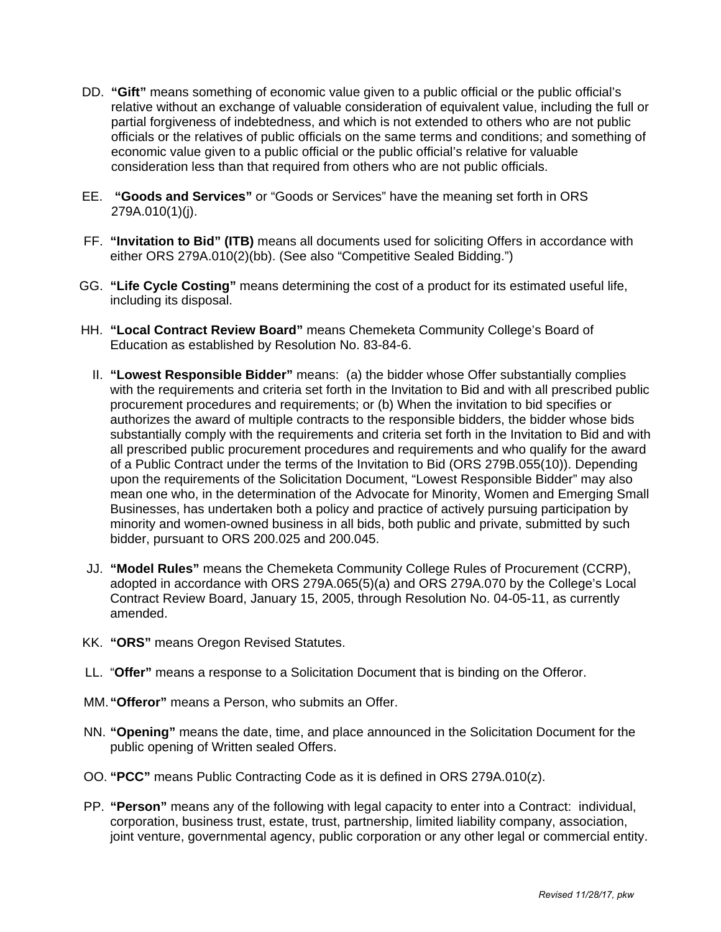- DD. **"Gift"** means something of economic value given to a public official or the public official's relative without an exchange of valuable consideration of equivalent value, including the full or partial forgiveness of indebtedness, and which is not extended to others who are not public officials or the relatives of public officials on the same terms and conditions; and something of economic value given to a public official or the public official's relative for valuable consideration less than that required from others who are not public officials.
- EE. **"Goods and Services"** or "Goods or Services" have the meaning set forth in ORS 279A.010(1)(j).
- FF. **"Invitation to Bid" (ITB)** means all documents used for soliciting Offers in accordance with either ORS 279A.010(2)(bb). (See also "Competitive Sealed Bidding.")
- GG. **"Life Cycle Costing"** means determining the cost of a product for its estimated useful life, including its disposal.
- HH. **"Local Contract Review Board"** means Chemeketa Community College's Board of Education as established by Resolution No. 83-84-6.
	- II. **"Lowest Responsible Bidder"** means: (a) the bidder whose Offer substantially complies with the requirements and criteria set forth in the Invitation to Bid and with all prescribed public procurement procedures and requirements; or (b) When the invitation to bid specifies or authorizes the award of multiple contracts to the responsible bidders, the bidder whose bids substantially comply with the requirements and criteria set forth in the Invitation to Bid and with all prescribed public procurement procedures and requirements and who qualify for the award of a Public Contract under the terms of the Invitation to Bid (ORS 279B.055(10)). Depending upon the requirements of the Solicitation Document, "Lowest Responsible Bidder" may also mean one who, in the determination of the Advocate for Minority, Women and Emerging Small Businesses, has undertaken both a policy and practice of actively pursuing participation by minority and women-owned business in all bids, both public and private, submitted by such bidder, pursuant to ORS 200.025 and 200.045.
- JJ. **"Model Rules"** means the Chemeketa Community College Rules of Procurement (CCRP), adopted in accordance with ORS 279A.065(5)(a) and ORS 279A.070 by the College's Local Contract Review Board, January 15, 2005, through Resolution No. 04-05-11, as currently amended.
- KK. **"ORS"** means Oregon Revised Statutes.
- LL. "**Offer"** means a response to a Solicitation Document that is binding on the Offeror.
- MM.**"Offeror"** means a Person, who submits an Offer.
- NN. **"Opening"** means the date, time, and place announced in the Solicitation Document for the public opening of Written sealed Offers.
- OO. **"PCC"** means Public Contracting Code as it is defined in ORS 279A.010(z).
- PP. **"Person"** means any of the following with legal capacity to enter into a Contract: individual, corporation, business trust, estate, trust, partnership, limited liability company, association, joint venture, governmental agency, public corporation or any other legal or commercial entity.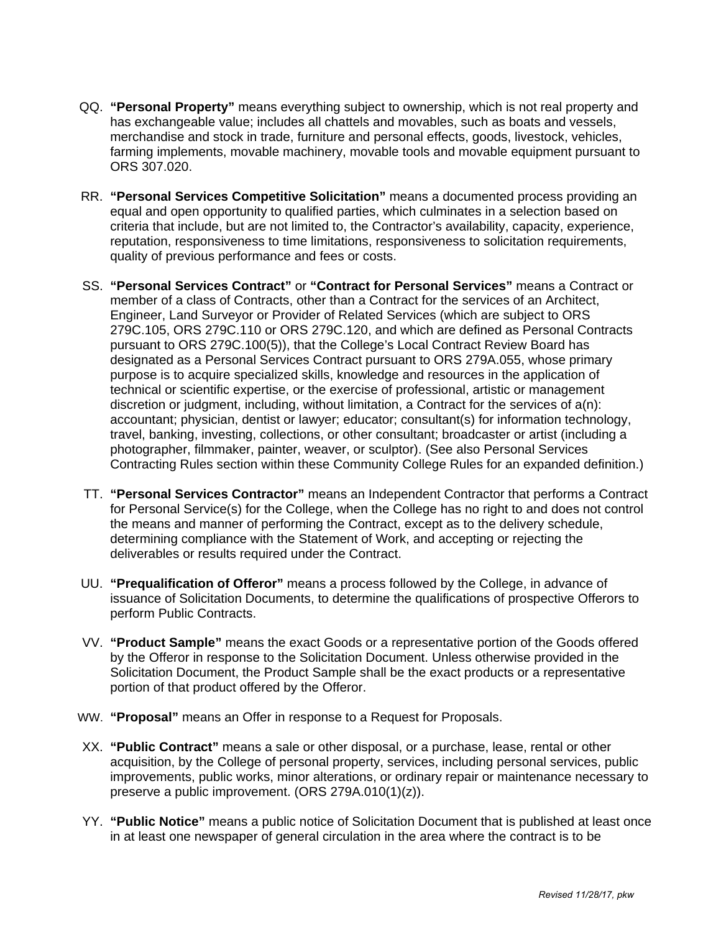- QQ. **"Personal Property"** means everything subject to ownership, which is not real property and has exchangeable value; includes all chattels and movables, such as boats and vessels, merchandise and stock in trade, furniture and personal effects, goods, livestock, vehicles, farming implements, movable machinery, movable tools and movable equipment pursuant to ORS 307.020.
- RR. **"Personal Services Competitive Solicitation"** means a documented process providing an equal and open opportunity to qualified parties, which culminates in a selection based on criteria that include, but are not limited to, the Contractor's availability, capacity, experience, reputation, responsiveness to time limitations, responsiveness to solicitation requirements, quality of previous performance and fees or costs.
- SS. **"Personal Services Contract"** or **"Contract for Personal Services"** means a Contract or member of a class of Contracts, other than a Contract for the services of an Architect, Engineer, Land Surveyor or Provider of Related Services (which are subject to ORS 279C.105, ORS 279C.110 or ORS 279C.120, and which are defined as Personal Contracts pursuant to ORS 279C.100(5)), that the College's Local Contract Review Board has designated as a Personal Services Contract pursuant to ORS 279A.055, whose primary purpose is to acquire specialized skills, knowledge and resources in the application of technical or scientific expertise, or the exercise of professional, artistic or management discretion or judgment, including, without limitation, a Contract for the services of a(n): accountant; physician, dentist or lawyer; educator; consultant(s) for information technology, travel, banking, investing, collections, or other consultant; broadcaster or artist (including a photographer, filmmaker, painter, weaver, or sculptor). (See also Personal Services Contracting Rules section within these Community College Rules for an expanded definition.)
- TT. **"Personal Services Contractor"** means an Independent Contractor that performs a Contract for Personal Service(s) for the College, when the College has no right to and does not control the means and manner of performing the Contract, except as to the delivery schedule, determining compliance with the Statement of Work, and accepting or rejecting the deliverables or results required under the Contract.
- UU. **"Prequalification of Offeror"** means a process followed by the College, in advance of issuance of Solicitation Documents, to determine the qualifications of prospective Offerors to perform Public Contracts.
- VV. **"Product Sample"** means the exact Goods or a representative portion of the Goods offered by the Offeror in response to the Solicitation Document. Unless otherwise provided in the Solicitation Document, the Product Sample shall be the exact products or a representative portion of that product offered by the Offeror.
- WW. **"Proposal"** means an Offer in response to a Request for Proposals.
- XX. **"Public Contract"** means a sale or other disposal, or a purchase, lease, rental or other acquisition, by the College of personal property, services, including personal services, public improvements, public works, minor alterations, or ordinary repair or maintenance necessary to preserve a public improvement. (ORS 279A.010(1)(z)).
- YY. **"Public Notice"** means a public notice of Solicitation Document that is published at least once in at least one newspaper of general circulation in the area where the contract is to be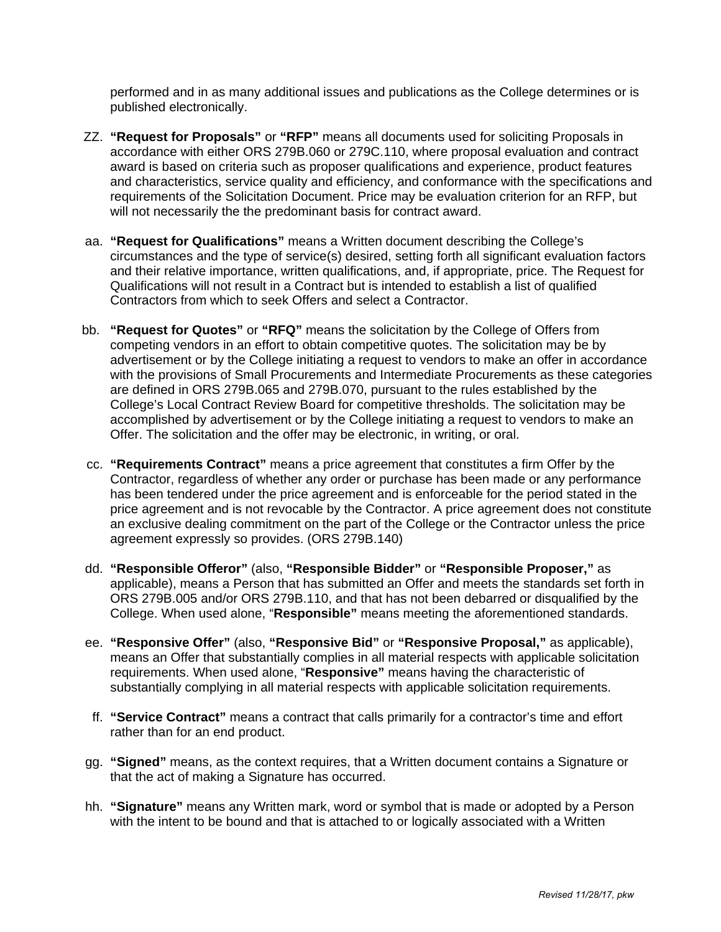performed and in as many additional issues and publications as the College determines or is published electronically.

- ZZ. **"Request for Proposals"** or **"RFP"** means all documents used for soliciting Proposals in accordance with either ORS 279B.060 or 279C.110, where proposal evaluation and contract award is based on criteria such as proposer qualifications and experience, product features and characteristics, service quality and efficiency, and conformance with the specifications and requirements of the Solicitation Document. Price may be evaluation criterion for an RFP, but will not necessarily the the predominant basis for contract award.
- aa. **"Request for Qualifications"** means a Written document describing the College's circumstances and the type of service(s) desired, setting forth all significant evaluation factors and their relative importance, written qualifications, and, if appropriate, price. The Request for Qualifications will not result in a Contract but is intended to establish a list of qualified Contractors from which to seek Offers and select a Contractor.
- bb. **"Request for Quotes"** or **"RFQ"** means the solicitation by the College of Offers from competing vendors in an effort to obtain competitive quotes. The solicitation may be by advertisement or by the College initiating a request to vendors to make an offer in accordance with the provisions of Small Procurements and Intermediate Procurements as these categories are defined in ORS 279B.065 and 279B.070, pursuant to the rules established by the College's Local Contract Review Board for competitive thresholds. The solicitation may be accomplished by advertisement or by the College initiating a request to vendors to make an Offer. The solicitation and the offer may be electronic, in writing, or oral.
- cc. **"Requirements Contract"** means a price agreement that constitutes a firm Offer by the Contractor, regardless of whether any order or purchase has been made or any performance has been tendered under the price agreement and is enforceable for the period stated in the price agreement and is not revocable by the Contractor. A price agreement does not constitute an exclusive dealing commitment on the part of the College or the Contractor unless the price agreement expressly so provides. (ORS 279B.140)
- dd. **"Responsible Offeror"** (also, **"Responsible Bidder"** or **"Responsible Proposer,"** as applicable), means a Person that has submitted an Offer and meets the standards set forth in ORS 279B.005 and/or ORS 279B.110, and that has not been debarred or disqualified by the College. When used alone, "**Responsible"** means meeting the aforementioned standards.
- ee. **"Responsive Offer"** (also, **"Responsive Bid"** or **"Responsive Proposal,"** as applicable), means an Offer that substantially complies in all material respects with applicable solicitation requirements. When used alone, "**Responsive"** means having the characteristic of substantially complying in all material respects with applicable solicitation requirements.
- ff. **"Service Contract"** means a contract that calls primarily for a contractor's time and effort rather than for an end product.
- gg. **"Signed"** means, as the context requires, that a Written document contains a Signature or that the act of making a Signature has occurred.
- hh. **"Signature"** means any Written mark, word or symbol that is made or adopted by a Person with the intent to be bound and that is attached to or logically associated with a Written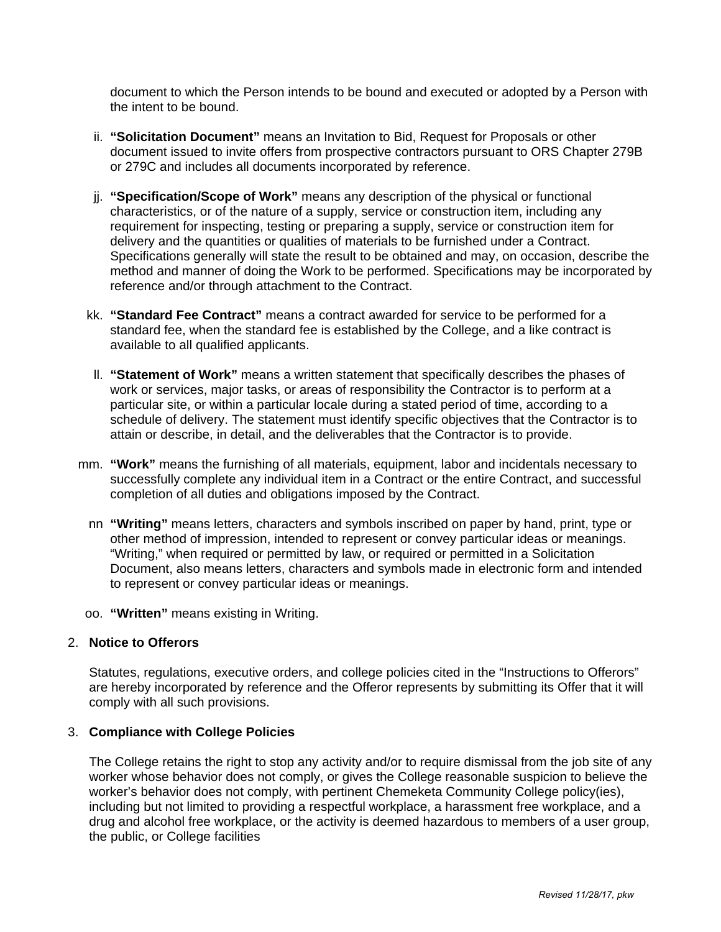document to which the Person intends to be bound and executed or adopted by a Person with the intent to be bound.

- ii. **"Solicitation Document"** means an Invitation to Bid, Request for Proposals or other document issued to invite offers from prospective contractors pursuant to ORS Chapter 279B or 279C and includes all documents incorporated by reference.
- jj. **"Specification/Scope of Work"** means any description of the physical or functional characteristics, or of the nature of a supply, service or construction item, including any requirement for inspecting, testing or preparing a supply, service or construction item for delivery and the quantities or qualities of materials to be furnished under a Contract. Specifications generally will state the result to be obtained and may, on occasion, describe the method and manner of doing the Work to be performed. Specifications may be incorporated by reference and/or through attachment to the Contract.
- kk. **"Standard Fee Contract"** means a contract awarded for service to be performed for a standard fee, when the standard fee is established by the College, and a like contract is available to all qualified applicants.
- ll. **"Statement of Work"** means a written statement that specifically describes the phases of work or services, major tasks, or areas of responsibility the Contractor is to perform at a particular site, or within a particular locale during a stated period of time, according to a schedule of delivery. The statement must identify specific objectives that the Contractor is to attain or describe, in detail, and the deliverables that the Contractor is to provide.
- mm. **"Work"** means the furnishing of all materials, equipment, labor and incidentals necessary to successfully complete any individual item in a Contract or the entire Contract, and successful completion of all duties and obligations imposed by the Contract.
	- nn **"Writing"** means letters, characters and symbols inscribed on paper by hand, print, type or other method of impression, intended to represent or convey particular ideas or meanings. "Writing," when required or permitted by law, or required or permitted in a Solicitation Document, also means letters, characters and symbols made in electronic form and intended to represent or convey particular ideas or meanings.
- oo. **"Written"** means existing in Writing.

### 2. **Notice to Offerors**

Statutes, regulations, executive orders, and college policies cited in the "Instructions to Offerors" are hereby incorporated by reference and the Offeror represents by submitting its Offer that it will comply with all such provisions.

### 3. **Compliance with College Policies**

The College retains the right to stop any activity and/or to require dismissal from the job site of any worker whose behavior does not comply, or gives the College reasonable suspicion to believe the worker's behavior does not comply, with pertinent Chemeketa Community College policy(ies), including but not limited to providing a respectful workplace, a harassment free workplace, and a drug and alcohol free workplace, or the activity is deemed hazardous to members of a user group, the public, or College facilities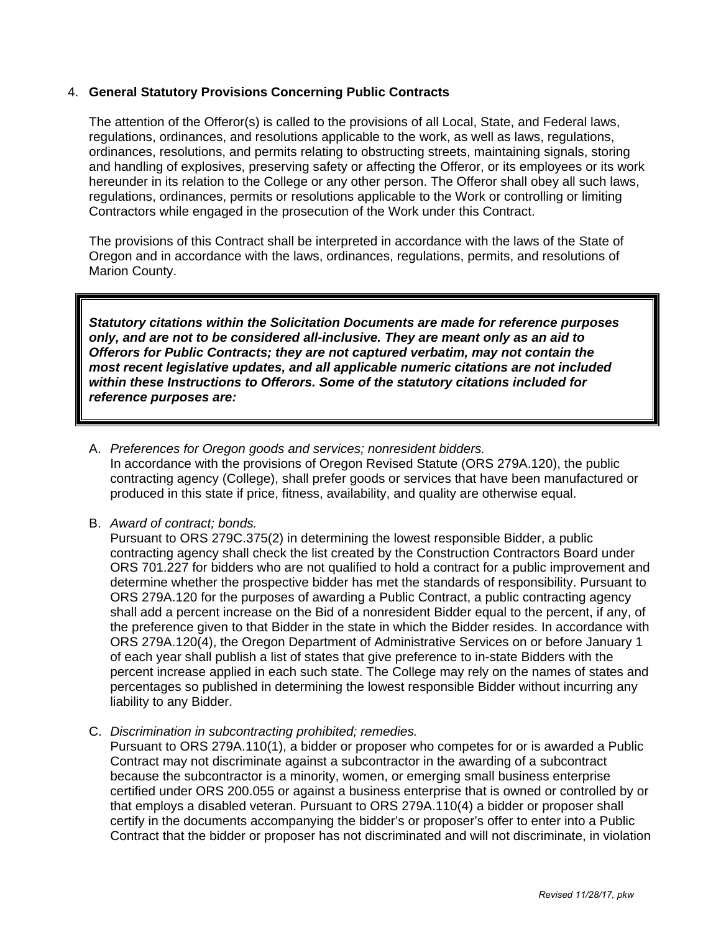# 4. **General Statutory Provisions Concerning Public Contracts**

The attention of the Offeror(s) is called to the provisions of all Local, State, and Federal laws, regulations, ordinances, and resolutions applicable to the work, as well as laws, regulations, ordinances, resolutions, and permits relating to obstructing streets, maintaining signals, storing and handling of explosives, preserving safety or affecting the Offeror, or its employees or its work hereunder in its relation to the College or any other person. The Offeror shall obey all such laws, regulations, ordinances, permits or resolutions applicable to the Work or controlling or limiting Contractors while engaged in the prosecution of the Work under this Contract.

The provisions of this Contract shall be interpreted in accordance with the laws of the State of Oregon and in accordance with the laws, ordinances, regulations, permits, and resolutions of Marion County.

*Statutory citations within the Solicitation Documents are made for reference purposes only, and are not to be considered all-inclusive. They are meant only as an aid to Offerors for Public Contracts; they are not captured verbatim, may not contain the most recent legislative updates, and all applicable numeric citations are not included within these Instructions to Offerors. Some of the statutory citations included for reference purposes are:* 

- A. *Preferences for Oregon goods and services; nonresident bidders.* In accordance with the provisions of Oregon Revised Statute (ORS 279A.120), the public contracting agency (College), shall prefer goods or services that have been manufactured or produced in this state if price, fitness, availability, and quality are otherwise equal.
- B. *Award of contract; bonds.*

Pursuant to ORS 279C.375(2) in determining the lowest responsible Bidder, a public contracting agency shall check the list created by the Construction Contractors Board under ORS 701.227 for bidders who are not qualified to hold a contract for a public improvement and determine whether the prospective bidder has met the standards of responsibility. Pursuant to ORS 279A.120 for the purposes of awarding a Public Contract, a public contracting agency shall add a percent increase on the Bid of a nonresident Bidder equal to the percent, if any, of the preference given to that Bidder in the state in which the Bidder resides. In accordance with ORS 279A.120(4), the Oregon Department of Administrative Services on or before January 1 of each year shall publish a list of states that give preference to in-state Bidders with the percent increase applied in each such state. The College may rely on the names of states and percentages so published in determining the lowest responsible Bidder without incurring any liability to any Bidder.

C. *Discrimination in subcontracting prohibited; remedies.*

Pursuant to ORS 279A.110(1), a bidder or proposer who competes for or is awarded a Public Contract may not discriminate against a subcontractor in the awarding of a subcontract because the subcontractor is a minority, women, or emerging small business enterprise certified under ORS 200.055 or against a business enterprise that is owned or controlled by or that employs a disabled veteran. Pursuant to ORS 279A.110(4) a bidder or proposer shall certify in the documents accompanying the bidder's or proposer's offer to enter into a Public Contract that the bidder or proposer has not discriminated and will not discriminate, in violation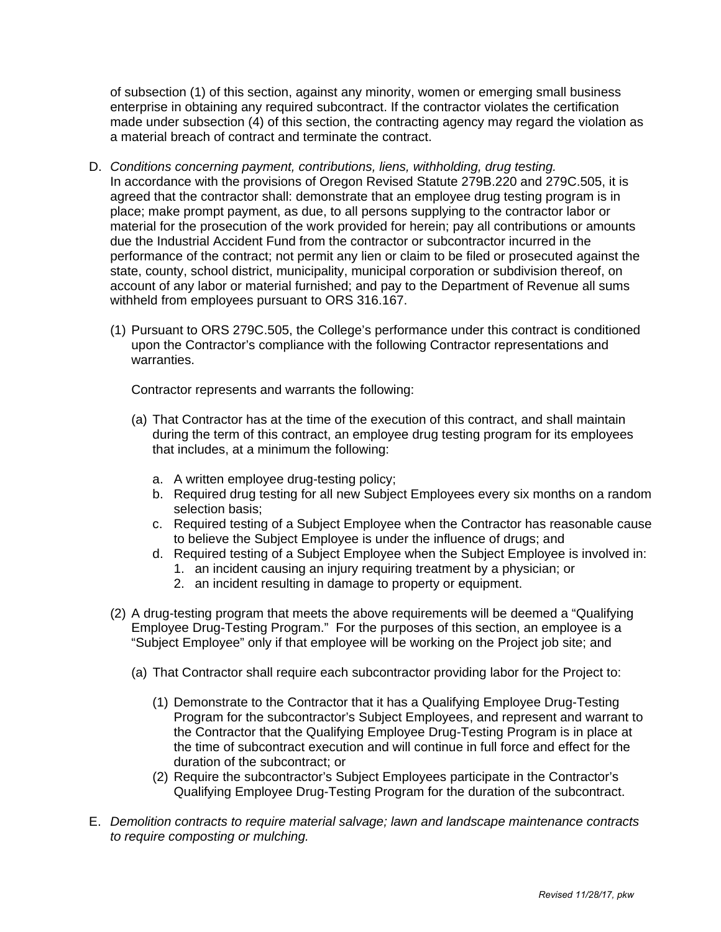of subsection (1) of this section, against any minority, women or emerging small business enterprise in obtaining any required subcontract. If the contractor violates the certification made under subsection (4) of this section, the contracting agency may regard the violation as a material breach of contract and terminate the contract.

- D. *Conditions concerning payment, contributions, liens, withholding, drug testing.* In accordance with the provisions of Oregon Revised Statute 279B.220 and 279C.505, it is agreed that the contractor shall: demonstrate that an employee drug testing program is in place; make prompt payment, as due, to all persons supplying to the contractor labor or material for the prosecution of the work provided for herein; pay all contributions or amounts due the Industrial Accident Fund from the contractor or subcontractor incurred in the performance of the contract; not permit any lien or claim to be filed or prosecuted against the state, county, school district, municipality, municipal corporation or subdivision thereof, on account of any labor or material furnished; and pay to the Department of Revenue all sums withheld from employees pursuant to ORS 316.167.
	- (1) Pursuant to ORS 279C.505, the College's performance under this contract is conditioned upon the Contractor's compliance with the following Contractor representations and warranties.

Contractor represents and warrants the following:

- (a) That Contractor has at the time of the execution of this contract, and shall maintain during the term of this contract, an employee drug testing program for its employees that includes, at a minimum the following:
	- a. A written employee drug-testing policy;
	- b. Required drug testing for all new Subject Employees every six months on a random selection basis;
	- c. Required testing of a Subject Employee when the Contractor has reasonable cause to believe the Subject Employee is under the influence of drugs; and
	- d. Required testing of a Subject Employee when the Subject Employee is involved in:
		- 1. an incident causing an injury requiring treatment by a physician; or
		- 2. an incident resulting in damage to property or equipment.
- (2) A drug-testing program that meets the above requirements will be deemed a "Qualifying Employee Drug-Testing Program." For the purposes of this section, an employee is a "Subject Employee" only if that employee will be working on the Project job site; and
	- (a) That Contractor shall require each subcontractor providing labor for the Project to:
		- (1) Demonstrate to the Contractor that it has a Qualifying Employee Drug-Testing Program for the subcontractor's Subject Employees, and represent and warrant to the Contractor that the Qualifying Employee Drug-Testing Program is in place at the time of subcontract execution and will continue in full force and effect for the duration of the subcontract; or
		- (2) Require the subcontractor's Subject Employees participate in the Contractor's Qualifying Employee Drug-Testing Program for the duration of the subcontract.
- E. *Demolition contracts to require material salvage; lawn and landscape maintenance contracts to require composting or mulching.*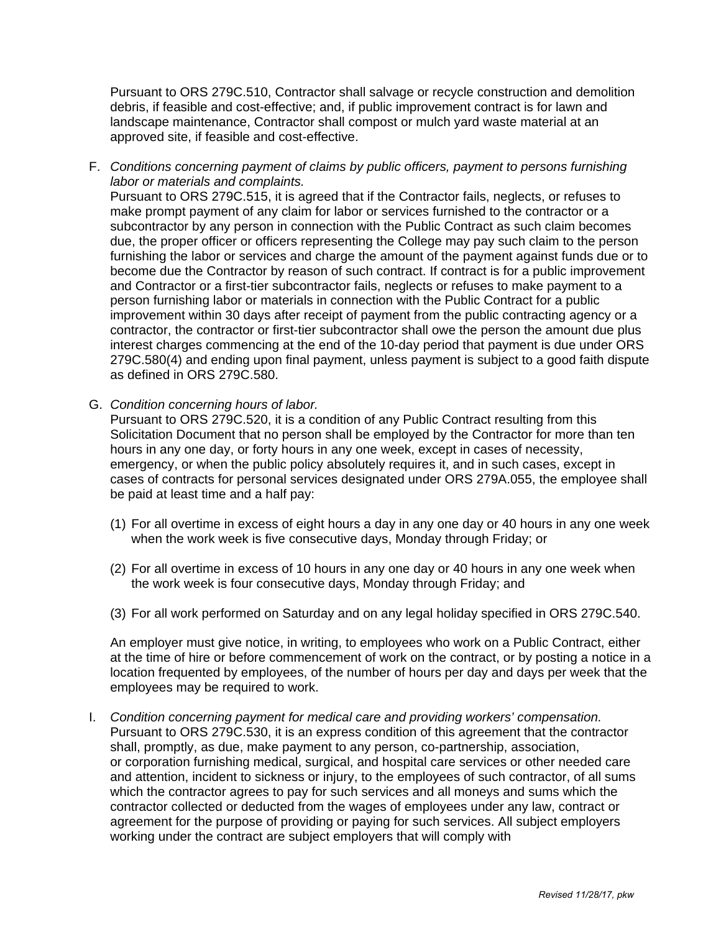Pursuant to ORS 279C.510, Contractor shall salvage or recycle construction and demolition debris, if feasible and cost-effective; and, if public improvement contract is for lawn and landscape maintenance, Contractor shall compost or mulch yard waste material at an approved site, if feasible and cost-effective.

F. *Conditions concerning payment of claims by public officers, payment to persons furnishing labor or materials and complaints.*

Pursuant to ORS 279C.515, it is agreed that if the Contractor fails, neglects, or refuses to make prompt payment of any claim for labor or services furnished to the contractor or a subcontractor by any person in connection with the Public Contract as such claim becomes due, the proper officer or officers representing the College may pay such claim to the person furnishing the labor or services and charge the amount of the payment against funds due or to become due the Contractor by reason of such contract. If contract is for a public improvement and Contractor or a first-tier subcontractor fails, neglects or refuses to make payment to a person furnishing labor or materials in connection with the Public Contract for a public improvement within 30 days after receipt of payment from the public contracting agency or a contractor, the contractor or first-tier subcontractor shall owe the person the amount due plus interest charges commencing at the end of the 10-day period that payment is due under ORS 279C.580(4) and ending upon final payment, unless payment is subject to a good faith dispute as defined in ORS 279C.580.

G. *Condition concerning hours of labor.*

Pursuant to ORS 279C.520, it is a condition of any Public Contract resulting from this Solicitation Document that no person shall be employed by the Contractor for more than ten hours in any one day, or forty hours in any one week, except in cases of necessity, emergency, or when the public policy absolutely requires it, and in such cases, except in cases of contracts for personal services designated under ORS 279A.055, the employee shall be paid at least time and a half pay:

- (1) For all overtime in excess of eight hours a day in any one day or 40 hours in any one week when the work week is five consecutive days, Monday through Friday; or
- (2) For all overtime in excess of 10 hours in any one day or 40 hours in any one week when the work week is four consecutive days, Monday through Friday; and
- (3) For all work performed on Saturday and on any legal holiday specified in ORS 279C.540.

An employer must give notice, in writing, to employees who work on a Public Contract, either at the time of hire or before commencement of work on the contract, or by posting a notice in a location frequented by employees, of the number of hours per day and days per week that the employees may be required to work.

I. *Condition concerning payment for medical care and providing workers' compensation.* Pursuant to ORS 279C.530, it is an express condition of this agreement that the contractor shall, promptly, as due, make payment to any person, co-partnership, association, or corporation furnishing medical, surgical, and hospital care services or other needed care and attention, incident to sickness or injury, to the employees of such contractor, of all sums which the contractor agrees to pay for such services and all moneys and sums which the contractor collected or deducted from the wages of employees under any law, contract or agreement for the purpose of providing or paying for such services. All subject employers working under the contract are subject employers that will comply with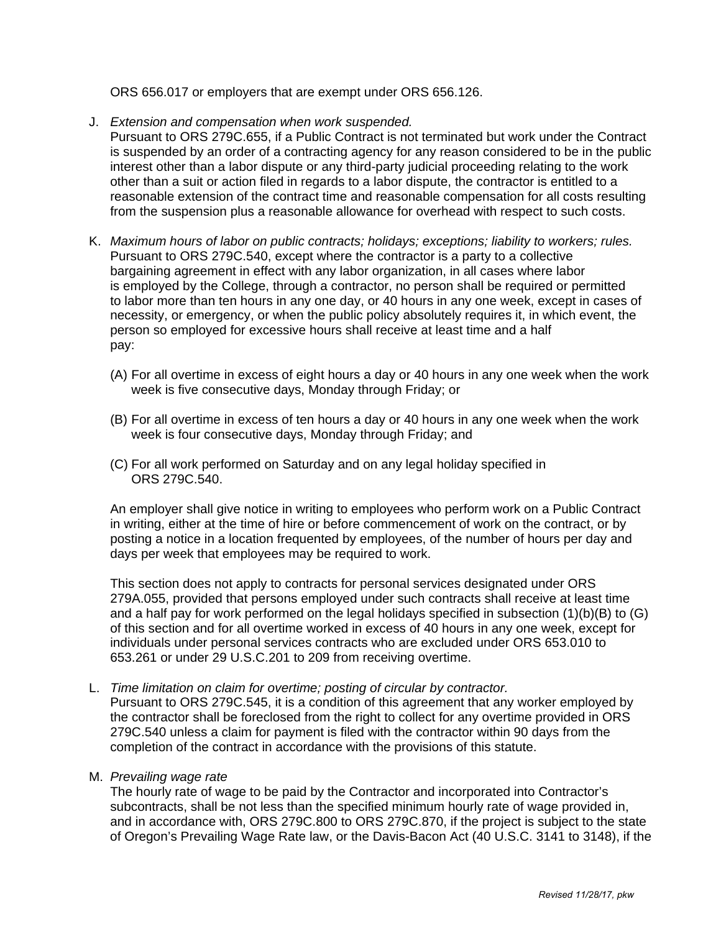ORS 656.017 or employers that are exempt under ORS 656.126.

- J. *Extension and compensation when work suspended.*
	- Pursuant to ORS 279C.655, if a Public Contract is not terminated but work under the Contract is suspended by an order of a contracting agency for any reason considered to be in the public interest other than a labor dispute or any third-party judicial proceeding relating to the work other than a suit or action filed in regards to a labor dispute, the contractor is entitled to a reasonable extension of the contract time and reasonable compensation for all costs resulting from the suspension plus a reasonable allowance for overhead with respect to such costs.
- K. *Maximum hours of labor on public contracts; holidays; exceptions; liability to workers; rules.* Pursuant to ORS 279C.540, except where the contractor is a party to a collective bargaining agreement in effect with any labor organization, in all cases where labor is employed by the College, through a contractor, no person shall be required or permitted to labor more than ten hours in any one day, or 40 hours in any one week, except in cases of necessity, or emergency, or when the public policy absolutely requires it, in which event, the person so employed for excessive hours shall receive at least time and a half pay:
	- (A) For all overtime in excess of eight hours a day or 40 hours in any one week when the work week is five consecutive days, Monday through Friday; or
	- (B) For all overtime in excess of ten hours a day or 40 hours in any one week when the work week is four consecutive days, Monday through Friday; and
	- (C) For all work performed on Saturday and on any legal holiday specified in ORS 279C.540.

An employer shall give notice in writing to employees who perform work on a Public Contract in writing, either at the time of hire or before commencement of work on the contract, or by posting a notice in a location frequented by employees, of the number of hours per day and days per week that employees may be required to work.

This section does not apply to contracts for personal services designated under ORS 279A.055, provided that persons employed under such contracts shall receive at least time and a half pay for work performed on the legal holidays specified in subsection (1)(b)(B) to (G) of this section and for all overtime worked in excess of 40 hours in any one week, except for individuals under personal services contracts who are excluded under ORS 653.010 to 653.261 or under 29 U.S.C.201 to 209 from receiving overtime.

L. *Time limitation on claim for overtime; posting of circular by contractor.*

Pursuant to ORS 279C.545, it is a condition of this agreement that any worker employed by the contractor shall be foreclosed from the right to collect for any overtime provided in ORS 279C.540 unless a claim for payment is filed with the contractor within 90 days from the completion of the contract in accordance with the provisions of this statute.

M. *Prevailing wage rate*

The hourly rate of wage to be paid by the Contractor and incorporated into Contractor's subcontracts, shall be not less than the specified minimum hourly rate of wage provided in, and in accordance with, ORS 279C.800 to ORS 279C.870, if the project is subject to the state of Oregon's Prevailing Wage Rate law, or the Davis-Bacon Act (40 U.S.C. 3141 to 3148), if the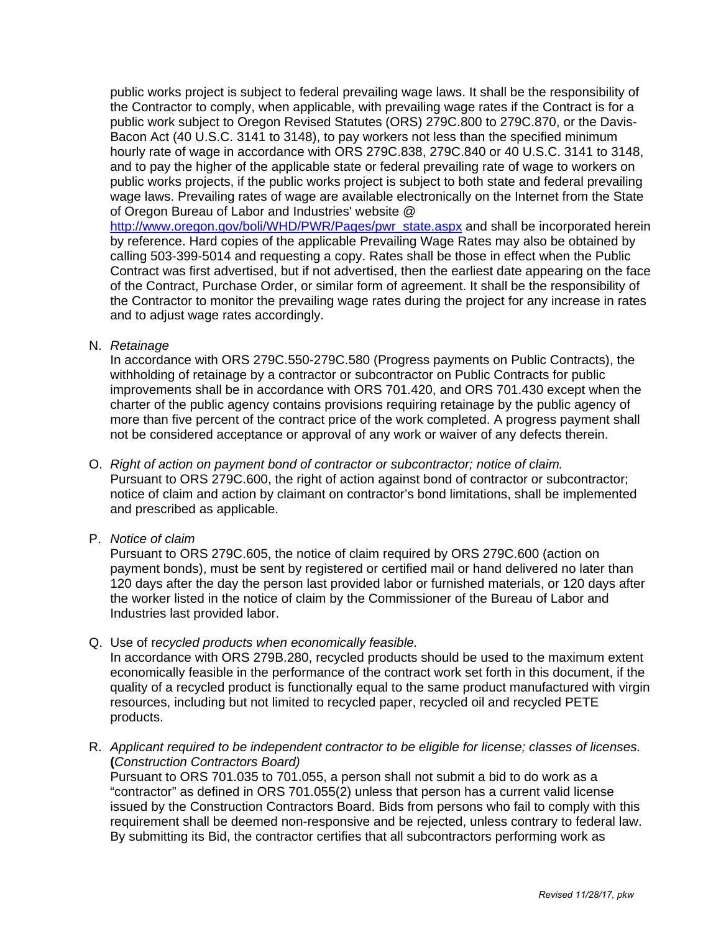public works project is subject to federal prevailing wage laws. It shall be the responsibility of the Contractor to comply, when applicable, with prevailing wage rates if the Contract is for a public work subject to Oregon Revised Statutes (ORS) 279C.800 to 279C.870, or the Davis-Bacon Act (40 U.S.C. 3141 to 3148), to pay workers not less than the specified minimum hourly rate of wage in accordance with ORS 279C.838, 279C.840 or 40 U.S.C. 3141 to 3148, and to pay the higher of the applicable state or federal prevailing rate of wage to workers on public works projects, if the public works project is subject to both state and federal prevailing wage laws. Prevailing rates of wage are available electronically on the Internet from the State of Oregon Bureau of Labor and Industries' website @

http://www.oregon.gov/boli/WHD/PWR/Pages/pwr\_state.aspx and shall be incorporated herein by reference. Hard copies of the applicable Prevailing Wage Rates may also be obtained by calling 503-399-5014 and requesting a copy. Rates shall be those in effect when the Public Contract was first advertised, but if not advertised, then the earliest date appearing on the face of the Contract, Purchase Order, or similar form of agreement. It shall be the responsibility of the Contractor to monitor the prevailing wage rates during the project for any increase in rates and to adjust wage rates accordingly.

N. *Retainage*

In accordance with ORS 279C.550-279C.580 (Progress payments on Public Contracts), the withholding of retainage by a contractor or subcontractor on Public Contracts for public improvements shall be in accordance with ORS 701.420, and ORS 701.430 except when the charter of the public agency contains provisions requiring retainage by the public agency of more than five percent of the contract price of the work completed. A progress payment shall not be considered acceptance or approval of any work or waiver of any defects therein.

- O. *Right of action on payment bond of contractor or subcontractor; notice of claim.* Pursuant to ORS 279C.600, the right of action against bond of contractor or subcontractor; notice of claim and action by claimant on contractor's bond limitations, shall be implemented and prescribed as applicable.
- P. *Notice of claim*

Pursuant to ORS 279C.605, the notice of claim required by ORS 279C.600 (action on payment bonds), must be sent by registered or certified mail or hand delivered no later than 120 days after the day the person last provided labor or furnished materials, or 120 days after the worker listed in the notice of claim by the Commissioner of the Bureau of Labor and Industries last provided labor.

Q. Use of r*ecycled products when economically feasible.*

In accordance with ORS 279B.280, recycled products should be used to the maximum extent economically feasible in the performance of the contract work set forth in this document, if the quality of a recycled product is functionally equal to the same product manufactured with virgin resources, including but not limited to recycled paper, recycled oil and recycled PETE products.

R. *Applicant required to be independent contractor to be eligible for license; classes of licenses.* **(***Construction Contractors Board)*

Pursuant to ORS 701.035 to 701.055, a person shall not submit a bid to do work as a "contractor" as defined in ORS 701.055(2) unless that person has a current valid license issued by the Construction Contractors Board. Bids from persons who fail to comply with this requirement shall be deemed non-responsive and be rejected, unless contrary to federal law. By submitting its Bid, the contractor certifies that all subcontractors performing work as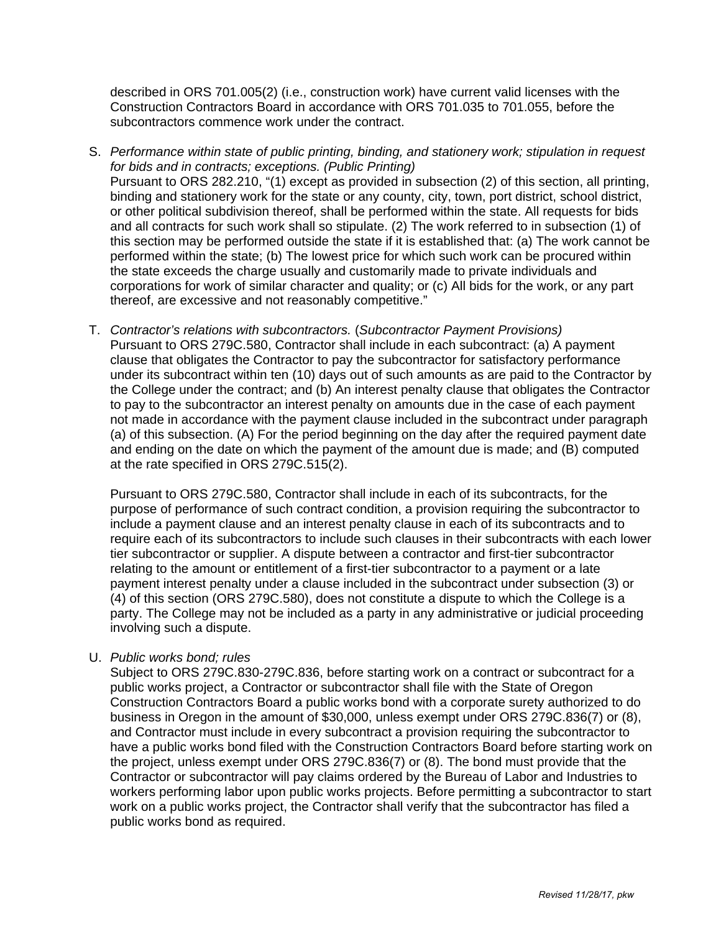described in ORS 701.005(2) (i.e., construction work) have current valid licenses with the Construction Contractors Board in accordance with ORS 701.035 to 701.055, before the subcontractors commence work under the contract.

- S. *Performance within state of public printing, binding, and stationery work; stipulation in request for bids and in contracts; exceptions. (Public Printing)* Pursuant to ORS 282.210, "(1) except as provided in subsection (2) of this section, all printing, binding and stationery work for the state or any county, city, town, port district, school district, or other political subdivision thereof, shall be performed within the state. All requests for bids and all contracts for such work shall so stipulate. (2) The work referred to in subsection (1) of this section may be performed outside the state if it is established that: (a) The work cannot be performed within the state; (b) The lowest price for which such work can be procured within the state exceeds the charge usually and customarily made to private individuals and corporations for work of similar character and quality; or (c) All bids for the work, or any part thereof, are excessive and not reasonably competitive."
- T. *Contractor's relations with subcontractors.* (*Subcontractor Payment Provisions)*  Pursuant to ORS 279C.580, Contractor shall include in each subcontract: (a) A payment clause that obligates the Contractor to pay the subcontractor for satisfactory performance under its subcontract within ten (10) days out of such amounts as are paid to the Contractor by the College under the contract; and (b) An interest penalty clause that obligates the Contractor to pay to the subcontractor an interest penalty on amounts due in the case of each payment not made in accordance with the payment clause included in the subcontract under paragraph (a) of this subsection. (A) For the period beginning on the day after the required payment date and ending on the date on which the payment of the amount due is made; and (B) computed at the rate specified in ORS 279C.515(2).

Pursuant to ORS 279C.580, Contractor shall include in each of its subcontracts, for the purpose of performance of such contract condition, a provision requiring the subcontractor to include a payment clause and an interest penalty clause in each of its subcontracts and to require each of its subcontractors to include such clauses in their subcontracts with each lower tier subcontractor or supplier. A dispute between a contractor and first-tier subcontractor relating to the amount or entitlement of a first-tier subcontractor to a payment or a late payment interest penalty under a clause included in the subcontract under subsection (3) or (4) of this section (ORS 279C.580), does not constitute a dispute to which the College is a party. The College may not be included as a party in any administrative or judicial proceeding involving such a dispute.

### U. *Public works bond; rules*

Subject to ORS 279C.830-279C.836, before starting work on a contract or subcontract for a public works project, a Contractor or subcontractor shall file with the State of Oregon Construction Contractors Board a public works bond with a corporate surety authorized to do business in Oregon in the amount of \$30,000, unless exempt under ORS 279C.836(7) or (8), and Contractor must include in every subcontract a provision requiring the subcontractor to have a public works bond filed with the Construction Contractors Board before starting work on the project, unless exempt under ORS 279C.836(7) or (8). The bond must provide that the Contractor or subcontractor will pay claims ordered by the Bureau of Labor and Industries to workers performing labor upon public works projects. Before permitting a subcontractor to start work on a public works project, the Contractor shall verify that the subcontractor has filed a public works bond as required.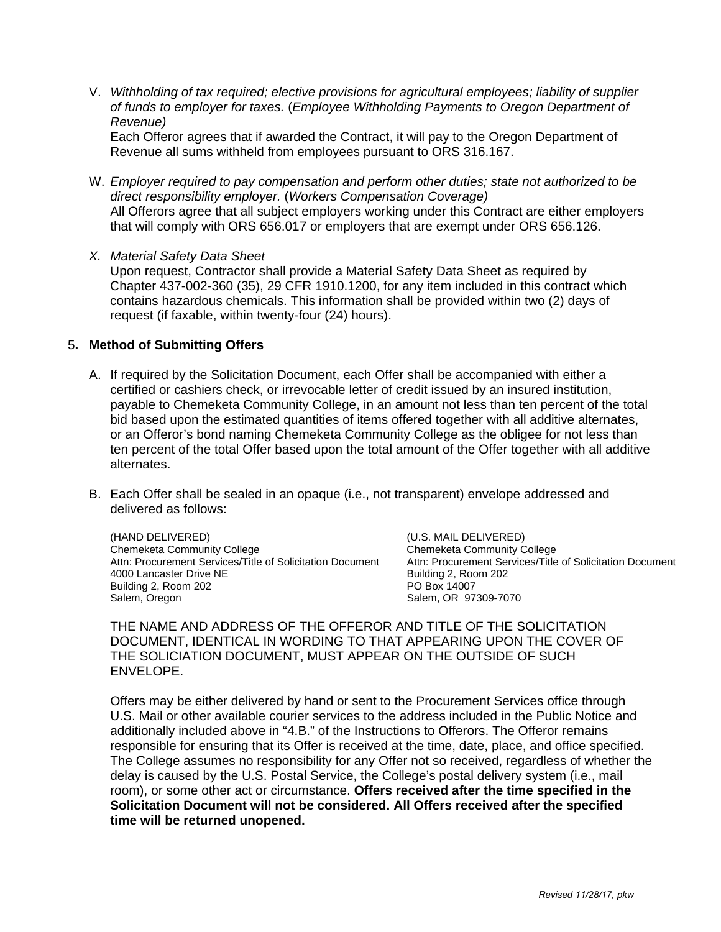V. *Withholding of tax required; elective provisions for agricultural employees; liability of supplier of funds to employer for taxes.* (*Employee Withholding Payments to Oregon Department of Revenue)*

Each Offeror agrees that if awarded the Contract, it will pay to the Oregon Department of Revenue all sums withheld from employees pursuant to ORS 316.167.

- W. *Employer required to pay compensation and perform other duties; state not authorized to be direct responsibility employer.* (*Workers Compensation Coverage)* All Offerors agree that all subject employers working under this Contract are either employers that will comply with ORS 656.017 or employers that are exempt under ORS 656.126.
- *X. Material Safety Data Sheet*

Upon request, Contractor shall provide a Material Safety Data Sheet as required by Chapter 437-002-360 (35), 29 CFR 1910.1200, for any item included in this contract which contains hazardous chemicals. This information shall be provided within two (2) days of request (if faxable, within twenty-four (24) hours).

### 5**. Method of Submitting Offers**

- A. If required by the Solicitation Document, each Offer shall be accompanied with either a certified or cashiers check, or irrevocable letter of credit issued by an insured institution, payable to Chemeketa Community College, in an amount not less than ten percent of the total bid based upon the estimated quantities of items offered together with all additive alternates, or an Offeror's bond naming Chemeketa Community College as the obligee for not less than ten percent of the total Offer based upon the total amount of the Offer together with all additive alternates.
- B. Each Offer shall be sealed in an opaque (i.e., not transparent) envelope addressed and delivered as follows:

(HAND DELIVERED) (U.S. MAIL DELIVERED) Attn: Procurement Services/Title of Solicitation Document 4000 Lancaster Drive NE<br>
Building 2, Room 202<br>
Building 2, Room 202 Building 2, Room 202<br>Salem, Oregon

Chemeketa Community College<br>Attn: Procurement Services/Title of Solicitation Document Salem, OR 97309-7070

THE NAME AND ADDRESS OF THE OFFEROR AND TITLE OF THE SOLICITATION DOCUMENT, IDENTICAL IN WORDING TO THAT APPEARING UPON THE COVER OF THE SOLICIATION DOCUMENT, MUST APPEAR ON THE OUTSIDE OF SUCH ENVELOPE.

Offers may be either delivered by hand or sent to the Procurement Services office through U.S. Mail or other available courier services to the address included in the Public Notice and additionally included above in "4.B." of the Instructions to Offerors. The Offeror remains responsible for ensuring that its Offer is received at the time, date, place, and office specified. The College assumes no responsibility for any Offer not so received, regardless of whether the delay is caused by the U.S. Postal Service, the College's postal delivery system (i.e., mail room), or some other act or circumstance. **Offers received after the time specified in the Solicitation Document will not be considered. All Offers received after the specified time will be returned unopened.**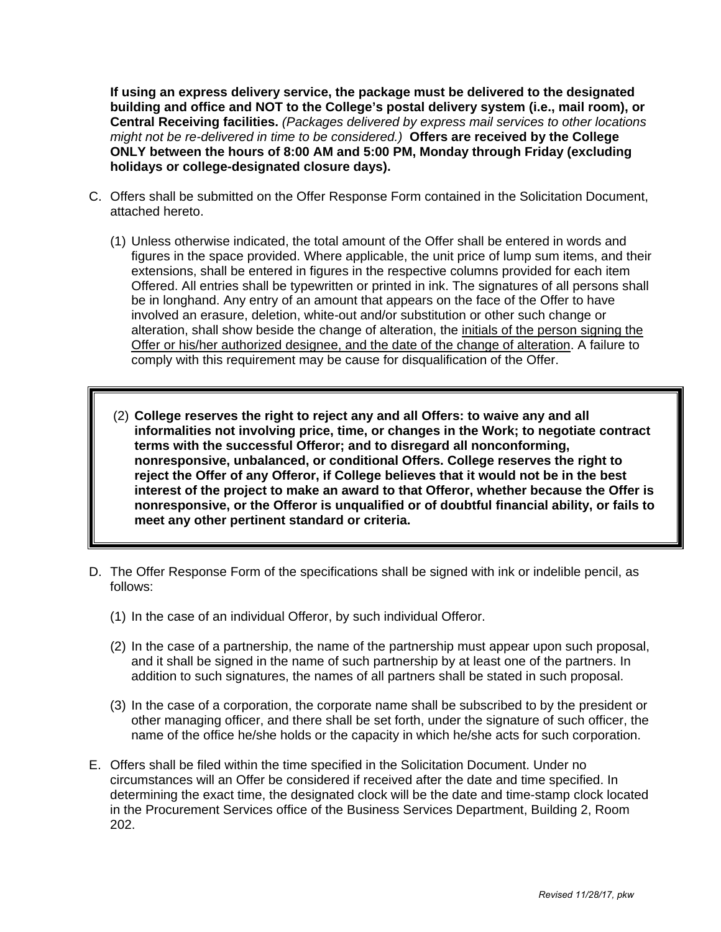**If using an express delivery service, the package must be delivered to the designated building and office and NOT to the College's postal delivery system (i.e., mail room), or Central Receiving facilities.** *(Packages delivered by express mail services to other locations might not be re-delivered in time to be considered.)* **Offers are received by the College ONLY between the hours of 8:00 AM and 5:00 PM, Monday through Friday (excluding holidays or college-designated closure days).** 

- C. Offers shall be submitted on the Offer Response Form contained in the Solicitation Document, attached hereto.
	- (1) Unless otherwise indicated, the total amount of the Offer shall be entered in words and figures in the space provided. Where applicable, the unit price of lump sum items, and their extensions, shall be entered in figures in the respective columns provided for each item Offered. All entries shall be typewritten or printed in ink. The signatures of all persons shall be in longhand. Any entry of an amount that appears on the face of the Offer to have involved an erasure, deletion, white-out and/or substitution or other such change or alteration, shall show beside the change of alteration, the *initials of the person signing the* Offer or his/her authorized designee, and the date of the change of alteration. A failure to comply with this requirement may be cause for disqualification of the Offer.
	- (2) **College reserves the right to reject any and all Offers: to waive any and all informalities not involving price, time, or changes in the Work; to negotiate contract terms with the successful Offeror; and to disregard all nonconforming, nonresponsive, unbalanced, or conditional Offers. College reserves the right to reject the Offer of any Offeror, if College believes that it would not be in the best interest of the project to make an award to that Offeror, whether because the Offer is nonresponsive, or the Offeror is unqualified or of doubtful financial ability, or fails to meet any other pertinent standard or criteria.**
- D. The Offer Response Form of the specifications shall be signed with ink or indelible pencil, as follows:
	- (1) In the case of an individual Offeror, by such individual Offeror.
	- (2) In the case of a partnership, the name of the partnership must appear upon such proposal, and it shall be signed in the name of such partnership by at least one of the partners. In addition to such signatures, the names of all partners shall be stated in such proposal.
	- (3) In the case of a corporation, the corporate name shall be subscribed to by the president or other managing officer, and there shall be set forth, under the signature of such officer, the name of the office he/she holds or the capacity in which he/she acts for such corporation.
- E. Offers shall be filed within the time specified in the Solicitation Document. Under no circumstances will an Offer be considered if received after the date and time specified. In determining the exact time, the designated clock will be the date and time-stamp clock located in the Procurement Services office of the Business Services Department, Building 2, Room 202.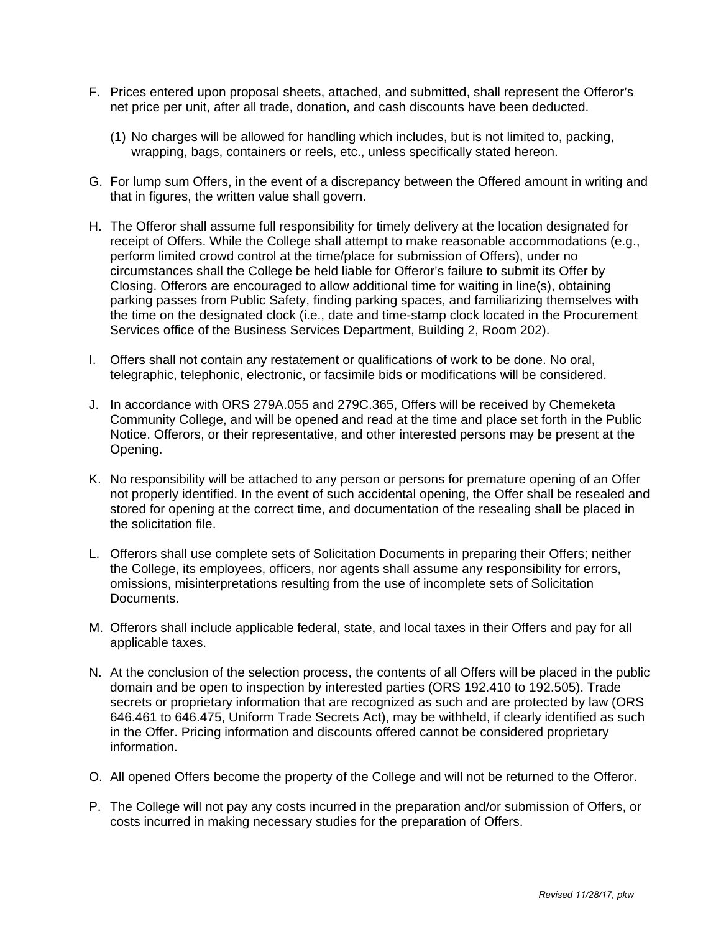- F. Prices entered upon proposal sheets, attached, and submitted, shall represent the Offeror's net price per unit, after all trade, donation, and cash discounts have been deducted.
	- (1) No charges will be allowed for handling which includes, but is not limited to, packing, wrapping, bags, containers or reels, etc., unless specifically stated hereon.
- G. For lump sum Offers, in the event of a discrepancy between the Offered amount in writing and that in figures, the written value shall govern.
- H. The Offeror shall assume full responsibility for timely delivery at the location designated for receipt of Offers. While the College shall attempt to make reasonable accommodations (e.g., perform limited crowd control at the time/place for submission of Offers), under no circumstances shall the College be held liable for Offeror's failure to submit its Offer by Closing. Offerors are encouraged to allow additional time for waiting in line(s), obtaining parking passes from Public Safety, finding parking spaces, and familiarizing themselves with the time on the designated clock (i.e., date and time-stamp clock located in the Procurement Services office of the Business Services Department, Building 2, Room 202).
- I. Offers shall not contain any restatement or qualifications of work to be done. No oral, telegraphic, telephonic, electronic, or facsimile bids or modifications will be considered.
- J. In accordance with ORS 279A.055 and 279C.365, Offers will be received by Chemeketa Community College, and will be opened and read at the time and place set forth in the Public Notice. Offerors, or their representative, and other interested persons may be present at the Opening.
- K. No responsibility will be attached to any person or persons for premature opening of an Offer not properly identified. In the event of such accidental opening, the Offer shall be resealed and stored for opening at the correct time, and documentation of the resealing shall be placed in the solicitation file.
- L. Offerors shall use complete sets of Solicitation Documents in preparing their Offers; neither the College, its employees, officers, nor agents shall assume any responsibility for errors, omissions, misinterpretations resulting from the use of incomplete sets of Solicitation Documents.
- M. Offerors shall include applicable federal, state, and local taxes in their Offers and pay for all applicable taxes.
- N. At the conclusion of the selection process, the contents of all Offers will be placed in the public domain and be open to inspection by interested parties (ORS 192.410 to 192.505). Trade secrets or proprietary information that are recognized as such and are protected by law (ORS 646.461 to 646.475, Uniform Trade Secrets Act), may be withheld, if clearly identified as such in the Offer. Pricing information and discounts offered cannot be considered proprietary information.
- O. All opened Offers become the property of the College and will not be returned to the Offeror.
- P. The College will not pay any costs incurred in the preparation and/or submission of Offers, or costs incurred in making necessary studies for the preparation of Offers.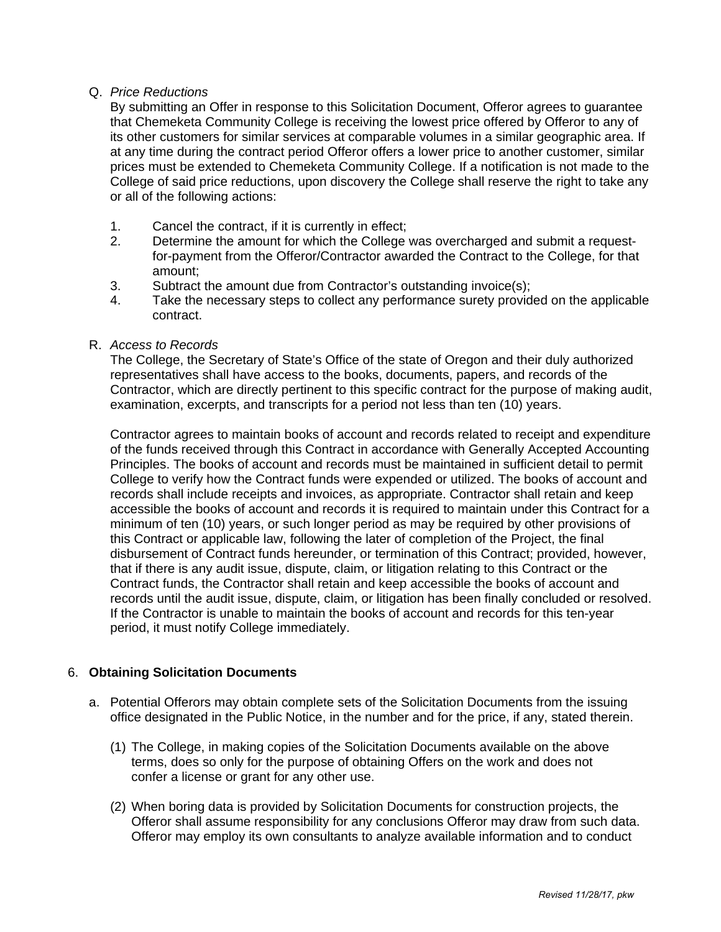# Q. *Price Reductions*

By submitting an Offer in response to this Solicitation Document, Offeror agrees to guarantee that Chemeketa Community College is receiving the lowest price offered by Offeror to any of its other customers for similar services at comparable volumes in a similar geographic area. If at any time during the contract period Offeror offers a lower price to another customer, similar prices must be extended to Chemeketa Community College. If a notification is not made to the College of said price reductions, upon discovery the College shall reserve the right to take any or all of the following actions:

- 1. Cancel the contract, if it is currently in effect;
- 2. Determine the amount for which the College was overcharged and submit a requestfor-payment from the Offeror/Contractor awarded the Contract to the College, for that amount;
- 3. Subtract the amount due from Contractor's outstanding invoice(s);
- 4. Take the necessary steps to collect any performance surety provided on the applicable contract.
- R. *Access to Records*

 The College, the Secretary of State's Office of the state of Oregon and their duly authorized representatives shall have access to the books, documents, papers, and records of the Contractor, which are directly pertinent to this specific contract for the purpose of making audit, examination, excerpts, and transcripts for a period not less than ten (10) years.

Contractor agrees to maintain books of account and records related to receipt and expenditure of the funds received through this Contract in accordance with Generally Accepted Accounting Principles. The books of account and records must be maintained in sufficient detail to permit College to verify how the Contract funds were expended or utilized. The books of account and records shall include receipts and invoices, as appropriate. Contractor shall retain and keep accessible the books of account and records it is required to maintain under this Contract for a minimum of ten (10) years, or such longer period as may be required by other provisions of this Contract or applicable law, following the later of completion of the Project, the final disbursement of Contract funds hereunder, or termination of this Contract; provided, however, that if there is any audit issue, dispute, claim, or litigation relating to this Contract or the Contract funds, the Contractor shall retain and keep accessible the books of account and records until the audit issue, dispute, claim, or litigation has been finally concluded or resolved. If the Contractor is unable to maintain the books of account and records for this ten-year period, it must notify College immediately.

### 6. **Obtaining Solicitation Documents**

- a. Potential Offerors may obtain complete sets of the Solicitation Documents from the issuing office designated in the Public Notice, in the number and for the price, if any, stated therein.
	- (1) The College, in making copies of the Solicitation Documents available on the above terms, does so only for the purpose of obtaining Offers on the work and does not confer a license or grant for any other use.
	- (2) When boring data is provided by Solicitation Documents for construction projects, the Offeror shall assume responsibility for any conclusions Offeror may draw from such data. Offeror may employ its own consultants to analyze available information and to conduct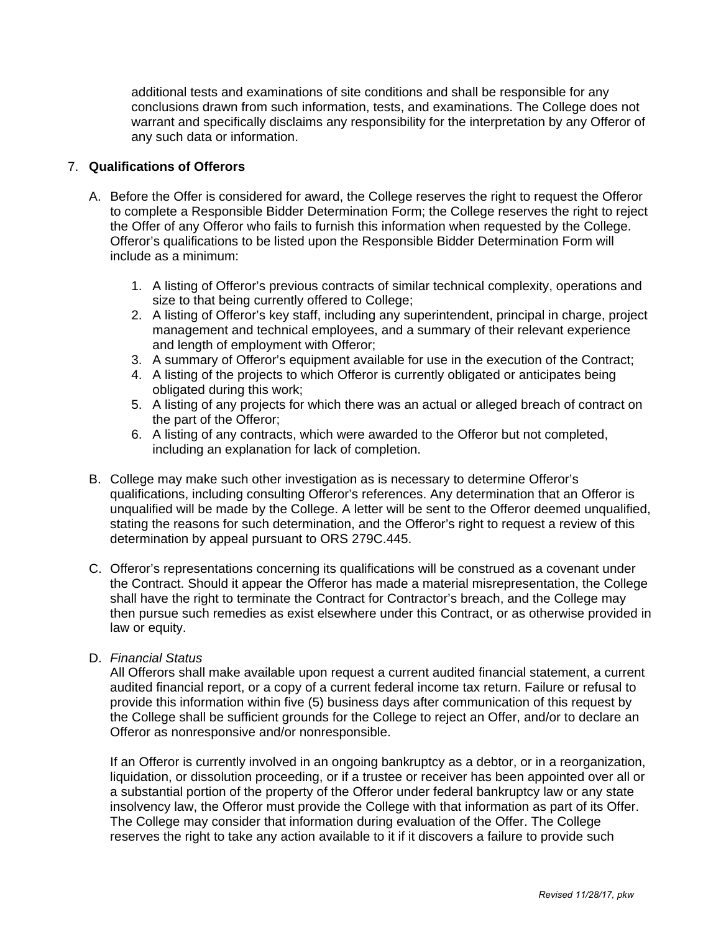additional tests and examinations of site conditions and shall be responsible for any conclusions drawn from such information, tests, and examinations. The College does not warrant and specifically disclaims any responsibility for the interpretation by any Offeror of any such data or information.

# 7. **Qualifications of Offerors**

- A. Before the Offer is considered for award, the College reserves the right to request the Offeror to complete a Responsible Bidder Determination Form; the College reserves the right to reject the Offer of any Offeror who fails to furnish this information when requested by the College. Offeror's qualifications to be listed upon the Responsible Bidder Determination Form will include as a minimum:
	- 1. A listing of Offeror's previous contracts of similar technical complexity, operations and size to that being currently offered to College;
	- 2. A listing of Offeror's key staff, including any superintendent, principal in charge, project management and technical employees, and a summary of their relevant experience and length of employment with Offeror;
	- 3. A summary of Offeror's equipment available for use in the execution of the Contract;
	- 4. A listing of the projects to which Offeror is currently obligated or anticipates being obligated during this work;
	- 5. A listing of any projects for which there was an actual or alleged breach of contract on the part of the Offeror;
	- 6. A listing of any contracts, which were awarded to the Offeror but not completed, including an explanation for lack of completion.
- B. College may make such other investigation as is necessary to determine Offeror's qualifications, including consulting Offeror's references. Any determination that an Offeror is unqualified will be made by the College. A letter will be sent to the Offeror deemed unqualified, stating the reasons for such determination, and the Offeror's right to request a review of this determination by appeal pursuant to ORS 279C.445.
- C. Offeror's representations concerning its qualifications will be construed as a covenant under the Contract. Should it appear the Offeror has made a material misrepresentation, the College shall have the right to terminate the Contract for Contractor's breach, and the College may then pursue such remedies as exist elsewhere under this Contract, or as otherwise provided in law or equity.

### D. *Financial Status*

All Offerors shall make available upon request a current audited financial statement, a current audited financial report, or a copy of a current federal income tax return. Failure or refusal to provide this information within five (5) business days after communication of this request by the College shall be sufficient grounds for the College to reject an Offer, and/or to declare an Offeror as nonresponsive and/or nonresponsible.

If an Offeror is currently involved in an ongoing bankruptcy as a debtor, or in a reorganization, liquidation, or dissolution proceeding, or if a trustee or receiver has been appointed over all or a substantial portion of the property of the Offeror under federal bankruptcy law or any state insolvency law, the Offeror must provide the College with that information as part of its Offer. The College may consider that information during evaluation of the Offer. The College reserves the right to take any action available to it if it discovers a failure to provide such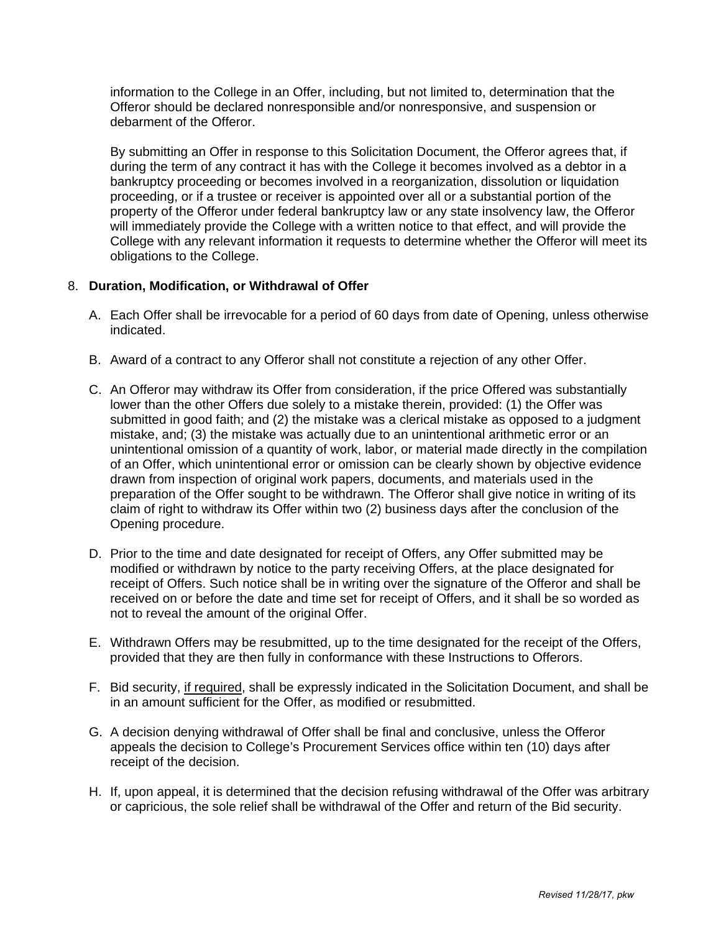information to the College in an Offer, including, but not limited to, determination that the Offeror should be declared nonresponsible and/or nonresponsive, and suspension or debarment of the Offeror.

By submitting an Offer in response to this Solicitation Document, the Offeror agrees that, if during the term of any contract it has with the College it becomes involved as a debtor in a bankruptcy proceeding or becomes involved in a reorganization, dissolution or liquidation proceeding, or if a trustee or receiver is appointed over all or a substantial portion of the property of the Offeror under federal bankruptcy law or any state insolvency law, the Offeror will immediately provide the College with a written notice to that effect, and will provide the College with any relevant information it requests to determine whether the Offeror will meet its obligations to the College.

# 8. **Duration, Modification, or Withdrawal of Offer**

- A. Each Offer shall be irrevocable for a period of 60 days from date of Opening, unless otherwise indicated.
- B. Award of a contract to any Offeror shall not constitute a rejection of any other Offer.
- C. An Offeror may withdraw its Offer from consideration, if the price Offered was substantially lower than the other Offers due solely to a mistake therein, provided: (1) the Offer was submitted in good faith; and (2) the mistake was a clerical mistake as opposed to a judgment mistake, and; (3) the mistake was actually due to an unintentional arithmetic error or an unintentional omission of a quantity of work, labor, or material made directly in the compilation of an Offer, which unintentional error or omission can be clearly shown by objective evidence drawn from inspection of original work papers, documents, and materials used in the preparation of the Offer sought to be withdrawn. The Offeror shall give notice in writing of its claim of right to withdraw its Offer within two (2) business days after the conclusion of the Opening procedure.
- D. Prior to the time and date designated for receipt of Offers, any Offer submitted may be modified or withdrawn by notice to the party receiving Offers, at the place designated for receipt of Offers. Such notice shall be in writing over the signature of the Offeror and shall be received on or before the date and time set for receipt of Offers, and it shall be so worded as not to reveal the amount of the original Offer.
- E. Withdrawn Offers may be resubmitted, up to the time designated for the receipt of the Offers, provided that they are then fully in conformance with these Instructions to Offerors.
- F. Bid security, if required, shall be expressly indicated in the Solicitation Document, and shall be in an amount sufficient for the Offer, as modified or resubmitted.
- G. A decision denying withdrawal of Offer shall be final and conclusive, unless the Offeror appeals the decision to College's Procurement Services office within ten (10) days after receipt of the decision.
- H. If, upon appeal, it is determined that the decision refusing withdrawal of the Offer was arbitrary or capricious, the sole relief shall be withdrawal of the Offer and return of the Bid security.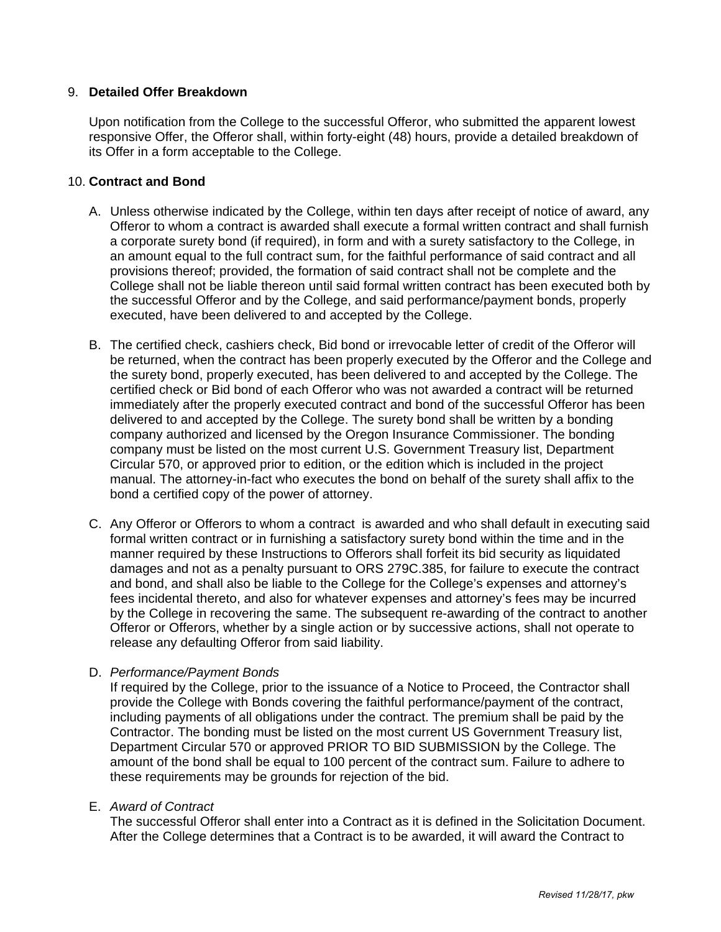# 9. **Detailed Offer Breakdown**

Upon notification from the College to the successful Offeror, who submitted the apparent lowest responsive Offer, the Offeror shall, within forty-eight (48) hours, provide a detailed breakdown of its Offer in a form acceptable to the College.

# 10. **Contract and Bond**

- A. Unless otherwise indicated by the College, within ten days after receipt of notice of award, any Offeror to whom a contract is awarded shall execute a formal written contract and shall furnish a corporate surety bond (if required), in form and with a surety satisfactory to the College, in an amount equal to the full contract sum, for the faithful performance of said contract and all provisions thereof; provided, the formation of said contract shall not be complete and the College shall not be liable thereon until said formal written contract has been executed both by the successful Offeror and by the College, and said performance/payment bonds, properly executed, have been delivered to and accepted by the College.
- B. The certified check, cashiers check, Bid bond or irrevocable letter of credit of the Offeror will be returned, when the contract has been properly executed by the Offeror and the College and the surety bond, properly executed, has been delivered to and accepted by the College. The certified check or Bid bond of each Offeror who was not awarded a contract will be returned immediately after the properly executed contract and bond of the successful Offeror has been delivered to and accepted by the College. The surety bond shall be written by a bonding company authorized and licensed by the Oregon Insurance Commissioner. The bonding company must be listed on the most current U.S. Government Treasury list, Department Circular 570, or approved prior to edition, or the edition which is included in the project manual. The attorney-in-fact who executes the bond on behalf of the surety shall affix to the bond a certified copy of the power of attorney.
- C. Any Offeror or Offerors to whom a contract is awarded and who shall default in executing said formal written contract or in furnishing a satisfactory surety bond within the time and in the manner required by these Instructions to Offerors shall forfeit its bid security as liquidated damages and not as a penalty pursuant to ORS 279C.385, for failure to execute the contract and bond, and shall also be liable to the College for the College's expenses and attorney's fees incidental thereto, and also for whatever expenses and attorney's fees may be incurred by the College in recovering the same. The subsequent re-awarding of the contract to another Offeror or Offerors, whether by a single action or by successive actions, shall not operate to release any defaulting Offeror from said liability.

# D. *Performance/Payment Bonds*

If required by the College, prior to the issuance of a Notice to Proceed, the Contractor shall provide the College with Bonds covering the faithful performance/payment of the contract, including payments of all obligations under the contract. The premium shall be paid by the Contractor. The bonding must be listed on the most current US Government Treasury list, Department Circular 570 or approved PRIOR TO BID SUBMISSION by the College. The amount of the bond shall be equal to 100 percent of the contract sum. Failure to adhere to these requirements may be grounds for rejection of the bid.

### E. *Award of Contract*

The successful Offeror shall enter into a Contract as it is defined in the Solicitation Document. After the College determines that a Contract is to be awarded, it will award the Contract to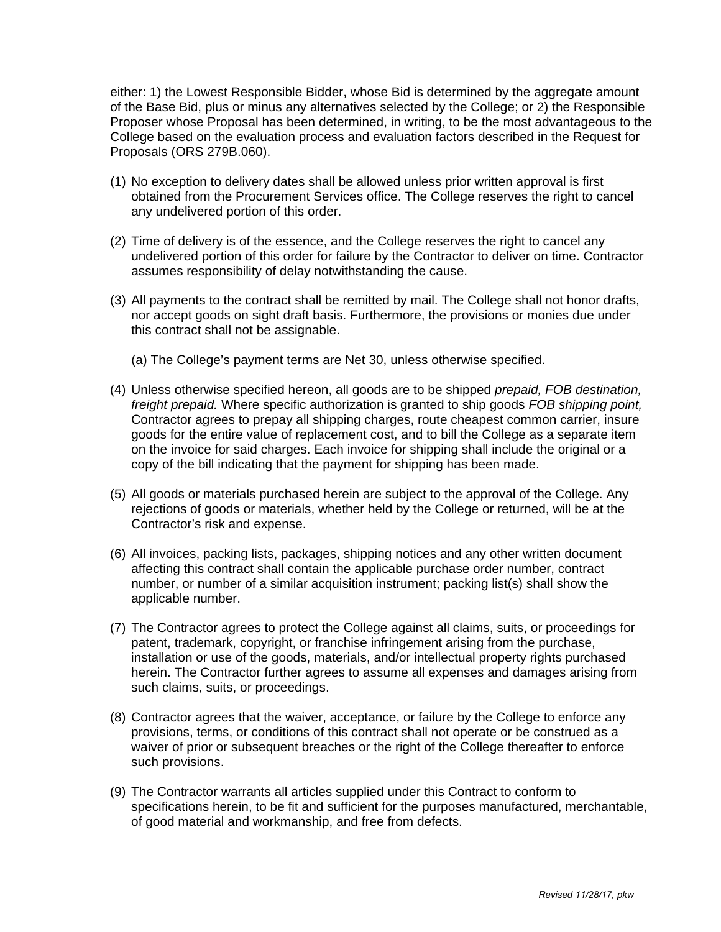either: 1) the Lowest Responsible Bidder, whose Bid is determined by the aggregate amount of the Base Bid, plus or minus any alternatives selected by the College; or 2) the Responsible Proposer whose Proposal has been determined, in writing, to be the most advantageous to the College based on the evaluation process and evaluation factors described in the Request for Proposals (ORS 279B.060).

- (1) No exception to delivery dates shall be allowed unless prior written approval is first obtained from the Procurement Services office. The College reserves the right to cancel any undelivered portion of this order.
- (2) Time of delivery is of the essence, and the College reserves the right to cancel any undelivered portion of this order for failure by the Contractor to deliver on time. Contractor assumes responsibility of delay notwithstanding the cause.
- (3) All payments to the contract shall be remitted by mail. The College shall not honor drafts, nor accept goods on sight draft basis. Furthermore, the provisions or monies due under this contract shall not be assignable.
	- (a) The College's payment terms are Net 30, unless otherwise specified.
- (4) Unless otherwise specified hereon, all goods are to be shipped *prepaid, FOB destination, freight prepaid.* Where specific authorization is granted to ship goods *FOB shipping point,* Contractor agrees to prepay all shipping charges, route cheapest common carrier, insure goods for the entire value of replacement cost, and to bill the College as a separate item on the invoice for said charges. Each invoice for shipping shall include the original or a copy of the bill indicating that the payment for shipping has been made.
- (5) All goods or materials purchased herein are subject to the approval of the College. Any rejections of goods or materials, whether held by the College or returned, will be at the Contractor's risk and expense.
- (6) All invoices, packing lists, packages, shipping notices and any other written document affecting this contract shall contain the applicable purchase order number, contract number, or number of a similar acquisition instrument; packing list(s) shall show the applicable number.
- (7) The Contractor agrees to protect the College against all claims, suits, or proceedings for patent, trademark, copyright, or franchise infringement arising from the purchase, installation or use of the goods, materials, and/or intellectual property rights purchased herein. The Contractor further agrees to assume all expenses and damages arising from such claims, suits, or proceedings.
- (8) Contractor agrees that the waiver, acceptance, or failure by the College to enforce any provisions, terms, or conditions of this contract shall not operate or be construed as a waiver of prior or subsequent breaches or the right of the College thereafter to enforce such provisions.
- (9) The Contractor warrants all articles supplied under this Contract to conform to specifications herein, to be fit and sufficient for the purposes manufactured, merchantable, of good material and workmanship, and free from defects.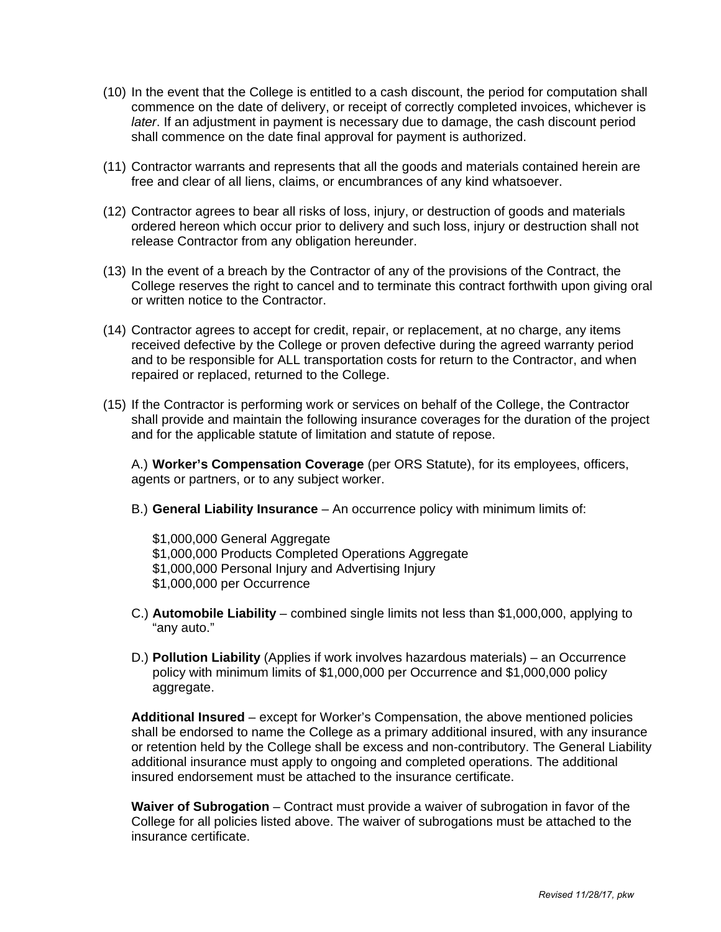- (10) In the event that the College is entitled to a cash discount, the period for computation shall commence on the date of delivery, or receipt of correctly completed invoices, whichever is *later*. If an adjustment in payment is necessary due to damage, the cash discount period shall commence on the date final approval for payment is authorized.
- (11) Contractor warrants and represents that all the goods and materials contained herein are free and clear of all liens, claims, or encumbrances of any kind whatsoever.
- (12) Contractor agrees to bear all risks of loss, injury, or destruction of goods and materials ordered hereon which occur prior to delivery and such loss, injury or destruction shall not release Contractor from any obligation hereunder.
- (13) In the event of a breach by the Contractor of any of the provisions of the Contract, the College reserves the right to cancel and to terminate this contract forthwith upon giving oral or written notice to the Contractor.
- (14) Contractor agrees to accept for credit, repair, or replacement, at no charge, any items received defective by the College or proven defective during the agreed warranty period and to be responsible for ALL transportation costs for return to the Contractor, and when repaired or replaced, returned to the College.
- (15) If the Contractor is performing work or services on behalf of the College, the Contractor shall provide and maintain the following insurance coverages for the duration of the project and for the applicable statute of limitation and statute of repose.

 A.) **Worker's Compensation Coverage** (per ORS Statute), for its employees, officers, agents or partners, or to any subject worker.

B.) **General Liability Insurance** – An occurrence policy with minimum limits of:

 \$1,000,000 General Aggregate \$1,000,000 Products Completed Operations Aggregate \$1,000,000 Personal Injury and Advertising Injury \$1,000,000 per Occurrence

- C.) **Automobile Liability** combined single limits not less than \$1,000,000, applying to "any auto."
- D.) **Pollution Liability** (Applies if work involves hazardous materials) an Occurrence policy with minimum limits of \$1,000,000 per Occurrence and \$1,000,000 policy aggregate.

 **Additional Insured** – except for Worker's Compensation, the above mentioned policies shall be endorsed to name the College as a primary additional insured, with any insurance or retention held by the College shall be excess and non-contributory. The General Liability additional insurance must apply to ongoing and completed operations. The additional insured endorsement must be attached to the insurance certificate.

 **Waiver of Subrogation** – Contract must provide a waiver of subrogation in favor of the College for all policies listed above. The waiver of subrogations must be attached to the insurance certificate.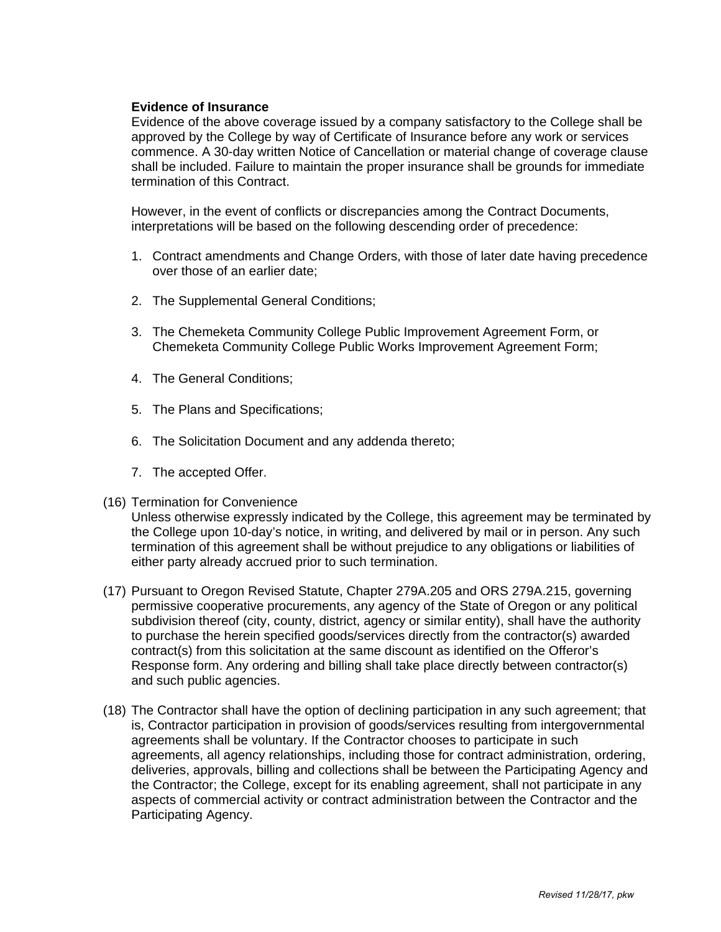### **Evidence of Insurance**

Evidence of the above coverage issued by a company satisfactory to the College shall be approved by the College by way of Certificate of Insurance before any work or services commence. A 30-day written Notice of Cancellation or material change of coverage clause shall be included. Failure to maintain the proper insurance shall be grounds for immediate termination of this Contract.

However, in the event of conflicts or discrepancies among the Contract Documents, interpretations will be based on the following descending order of precedence:

- 1. Contract amendments and Change Orders, with those of later date having precedence over those of an earlier date;
- 2. The Supplemental General Conditions;
- 3. The Chemeketa Community College Public Improvement Agreement Form, or Chemeketa Community College Public Works Improvement Agreement Form;
- 4. The General Conditions;
- 5. The Plans and Specifications;
- 6. The Solicitation Document and any addenda thereto;
- 7. The accepted Offer.
- (16) Termination for Convenience

Unless otherwise expressly indicated by the College, this agreement may be terminated by the College upon 10-day's notice, in writing, and delivered by mail or in person. Any such termination of this agreement shall be without prejudice to any obligations or liabilities of either party already accrued prior to such termination.

- (17) Pursuant to Oregon Revised Statute, Chapter 279A.205 and ORS 279A.215, governing permissive cooperative procurements, any agency of the State of Oregon or any political subdivision thereof (city, county, district, agency or similar entity), shall have the authority to purchase the herein specified goods/services directly from the contractor(s) awarded contract(s) from this solicitation at the same discount as identified on the Offeror's Response form. Any ordering and billing shall take place directly between contractor(s) and such public agencies.
- (18) The Contractor shall have the option of declining participation in any such agreement; that is, Contractor participation in provision of goods/services resulting from intergovernmental agreements shall be voluntary. If the Contractor chooses to participate in such agreements, all agency relationships, including those for contract administration, ordering, deliveries, approvals, billing and collections shall be between the Participating Agency and the Contractor; the College, except for its enabling agreement, shall not participate in any aspects of commercial activity or contract administration between the Contractor and the Participating Agency.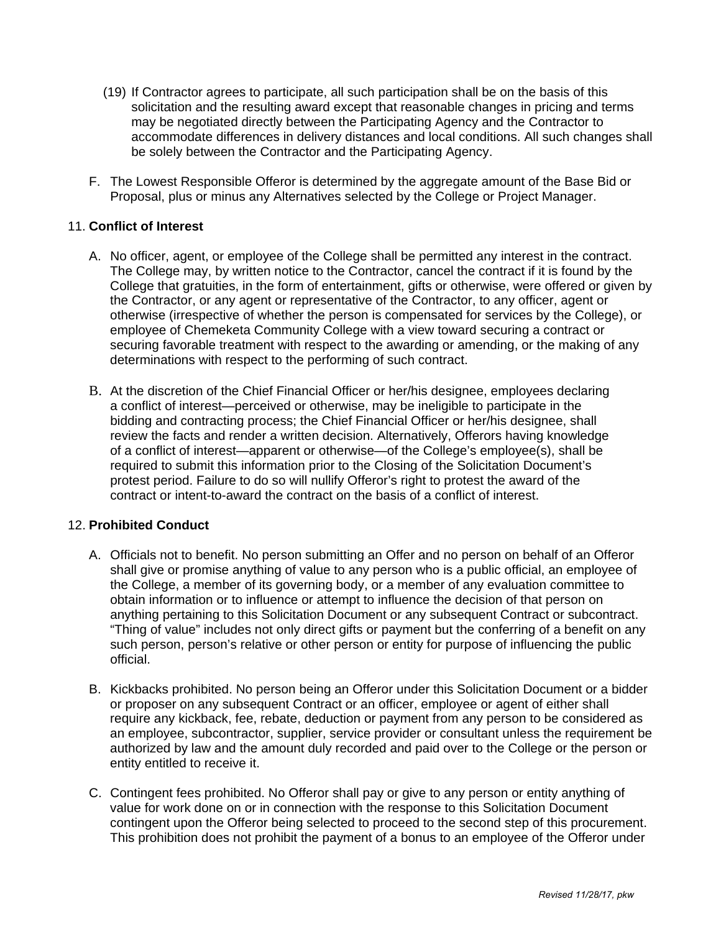- (19) If Contractor agrees to participate, all such participation shall be on the basis of this solicitation and the resulting award except that reasonable changes in pricing and terms may be negotiated directly between the Participating Agency and the Contractor to accommodate differences in delivery distances and local conditions. All such changes shall be solely between the Contractor and the Participating Agency.
- F. The Lowest Responsible Offeror is determined by the aggregate amount of the Base Bid or Proposal, plus or minus any Alternatives selected by the College or Project Manager.

# 11. **Conflict of Interest**

- A. No officer, agent, or employee of the College shall be permitted any interest in the contract. The College may, by written notice to the Contractor, cancel the contract if it is found by the College that gratuities, in the form of entertainment, gifts or otherwise, were offered or given by the Contractor, or any agent or representative of the Contractor, to any officer, agent or otherwise (irrespective of whether the person is compensated for services by the College), or employee of Chemeketa Community College with a view toward securing a contract or securing favorable treatment with respect to the awarding or amending, or the making of any determinations with respect to the performing of such contract.
- B. At the discretion of the Chief Financial Officer or her/his designee, employees declaring a conflict of interest—perceived or otherwise, may be ineligible to participate in the bidding and contracting process; the Chief Financial Officer or her/his designee, shall review the facts and render a written decision. Alternatively, Offerors having knowledge of a conflict of interest—apparent or otherwise—of the College's employee(s), shall be required to submit this information prior to the Closing of the Solicitation Document's protest period. Failure to do so will nullify Offeror's right to protest the award of the contract or intent-to-award the contract on the basis of a conflict of interest.

# 12. **Prohibited Conduct**

- A. Officials not to benefit. No person submitting an Offer and no person on behalf of an Offeror shall give or promise anything of value to any person who is a public official, an employee of the College, a member of its governing body, or a member of any evaluation committee to obtain information or to influence or attempt to influence the decision of that person on anything pertaining to this Solicitation Document or any subsequent Contract or subcontract. "Thing of value" includes not only direct gifts or payment but the conferring of a benefit on any such person, person's relative or other person or entity for purpose of influencing the public official.
- B. Kickbacks prohibited. No person being an Offeror under this Solicitation Document or a bidder or proposer on any subsequent Contract or an officer, employee or agent of either shall require any kickback, fee, rebate, deduction or payment from any person to be considered as an employee, subcontractor, supplier, service provider or consultant unless the requirement be authorized by law and the amount duly recorded and paid over to the College or the person or entity entitled to receive it.
- C. Contingent fees prohibited. No Offeror shall pay or give to any person or entity anything of value for work done on or in connection with the response to this Solicitation Document contingent upon the Offeror being selected to proceed to the second step of this procurement. This prohibition does not prohibit the payment of a bonus to an employee of the Offeror under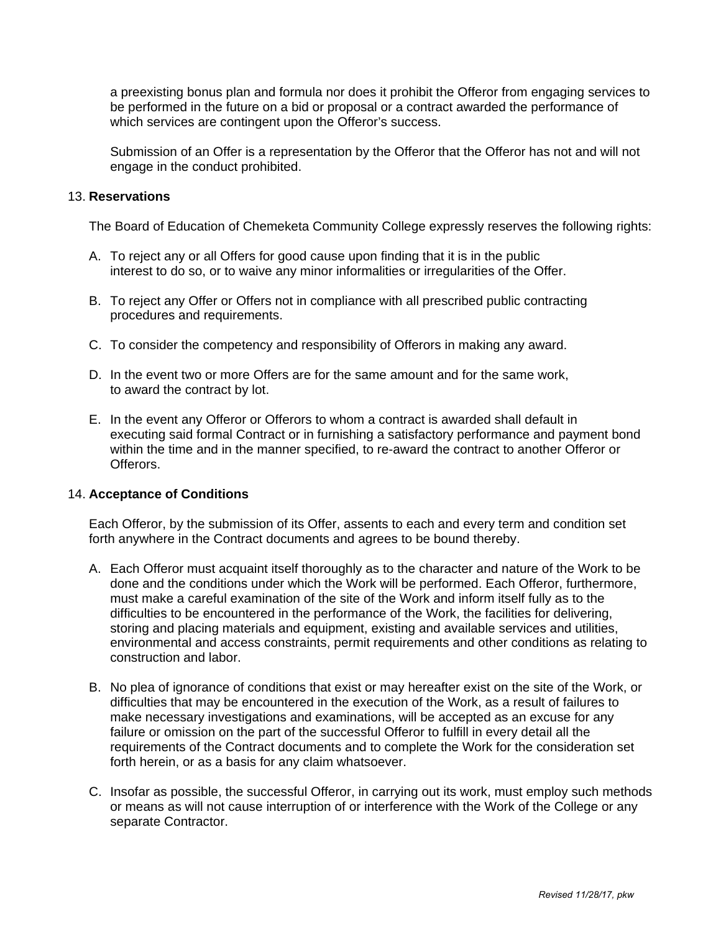a preexisting bonus plan and formula nor does it prohibit the Offeror from engaging services to be performed in the future on a bid or proposal or a contract awarded the performance of which services are contingent upon the Offeror's success.

Submission of an Offer is a representation by the Offeror that the Offeror has not and will not engage in the conduct prohibited.

### 13. **Reservations**

The Board of Education of Chemeketa Community College expressly reserves the following rights:

- A. To reject any or all Offers for good cause upon finding that it is in the public interest to do so, or to waive any minor informalities or irregularities of the Offer.
- B. To reject any Offer or Offers not in compliance with all prescribed public contracting procedures and requirements.
- C. To consider the competency and responsibility of Offerors in making any award.
- D. In the event two or more Offers are for the same amount and for the same work, to award the contract by lot.
- E. In the event any Offeror or Offerors to whom a contract is awarded shall default in executing said formal Contract or in furnishing a satisfactory performance and payment bond within the time and in the manner specified, to re-award the contract to another Offeror or Offerors.

### 14. **Acceptance of Conditions**

Each Offeror, by the submission of its Offer, assents to each and every term and condition set forth anywhere in the Contract documents and agrees to be bound thereby.

- A. Each Offeror must acquaint itself thoroughly as to the character and nature of the Work to be done and the conditions under which the Work will be performed. Each Offeror, furthermore, must make a careful examination of the site of the Work and inform itself fully as to the difficulties to be encountered in the performance of the Work, the facilities for delivering, storing and placing materials and equipment, existing and available services and utilities, environmental and access constraints, permit requirements and other conditions as relating to construction and labor.
- B. No plea of ignorance of conditions that exist or may hereafter exist on the site of the Work, or difficulties that may be encountered in the execution of the Work, as a result of failures to make necessary investigations and examinations, will be accepted as an excuse for any failure or omission on the part of the successful Offeror to fulfill in every detail all the requirements of the Contract documents and to complete the Work for the consideration set forth herein, or as a basis for any claim whatsoever.
- C. Insofar as possible, the successful Offeror, in carrying out its work, must employ such methods or means as will not cause interruption of or interference with the Work of the College or any separate Contractor.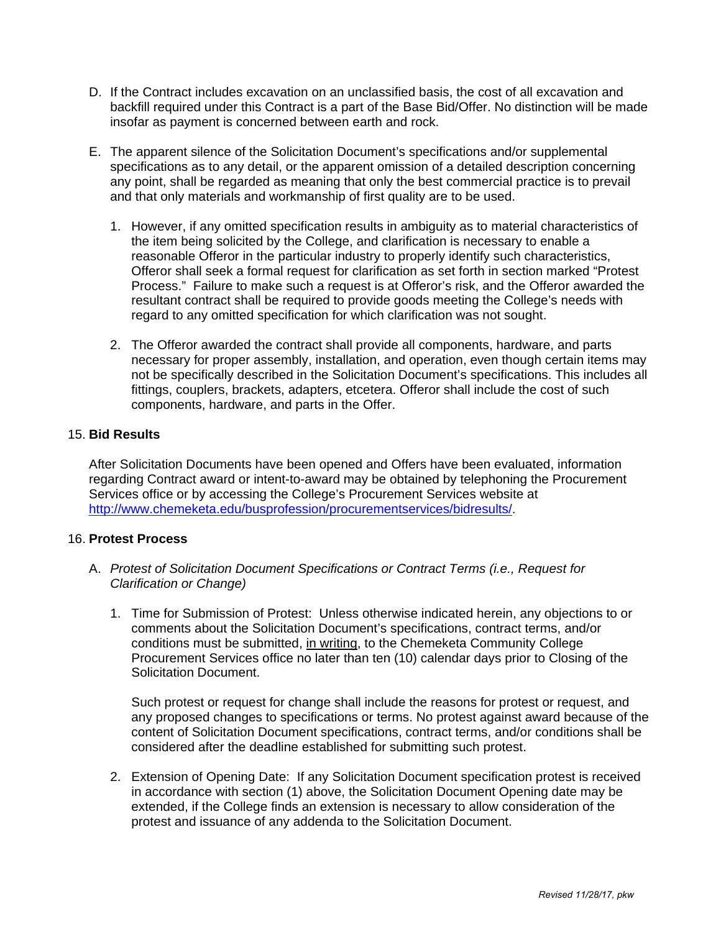- D. If the Contract includes excavation on an unclassified basis, the cost of all excavation and backfill required under this Contract is a part of the Base Bid/Offer. No distinction will be made insofar as payment is concerned between earth and rock.
- E. The apparent silence of the Solicitation Document's specifications and/or supplemental specifications as to any detail, or the apparent omission of a detailed description concerning any point, shall be regarded as meaning that only the best commercial practice is to prevail and that only materials and workmanship of first quality are to be used.
	- 1. However, if any omitted specification results in ambiguity as to material characteristics of the item being solicited by the College, and clarification is necessary to enable a reasonable Offeror in the particular industry to properly identify such characteristics, Offeror shall seek a formal request for clarification as set forth in section marked "Protest Process." Failure to make such a request is at Offeror's risk, and the Offeror awarded the resultant contract shall be required to provide goods meeting the College's needs with regard to any omitted specification for which clarification was not sought.
	- 2. The Offeror awarded the contract shall provide all components, hardware, and parts necessary for proper assembly, installation, and operation, even though certain items may not be specifically described in the Solicitation Document's specifications. This includes all fittings, couplers, brackets, adapters, etcetera. Offeror shall include the cost of such components, hardware, and parts in the Offer.

# 15. **Bid Results**

After Solicitation Documents have been opened and Offers have been evaluated, information regarding Contract award or intent-to-award may be obtained by telephoning the Procurement Services office or by accessing the College's Procurement Services website at http://www.chemeketa.edu/busprofession/procurementservices/bidresults/.

### 16. **Protest Process**

- A. *Protest of Solicitation Document Specifications or Contract Terms (i.e., Request for Clarification or Change)* 
	- 1. Time for Submission of Protest: Unless otherwise indicated herein, any objections to or comments about the Solicitation Document's specifications, contract terms, and/or conditions must be submitted, in writing, to the Chemeketa Community College Procurement Services office no later than ten (10) calendar days prior to Closing of the Solicitation Document.

Such protest or request for change shall include the reasons for protest or request, and any proposed changes to specifications or terms. No protest against award because of the content of Solicitation Document specifications, contract terms, and/or conditions shall be considered after the deadline established for submitting such protest.

2. Extension of Opening Date: If any Solicitation Document specification protest is received in accordance with section (1) above, the Solicitation Document Opening date may be extended, if the College finds an extension is necessary to allow consideration of the protest and issuance of any addenda to the Solicitation Document.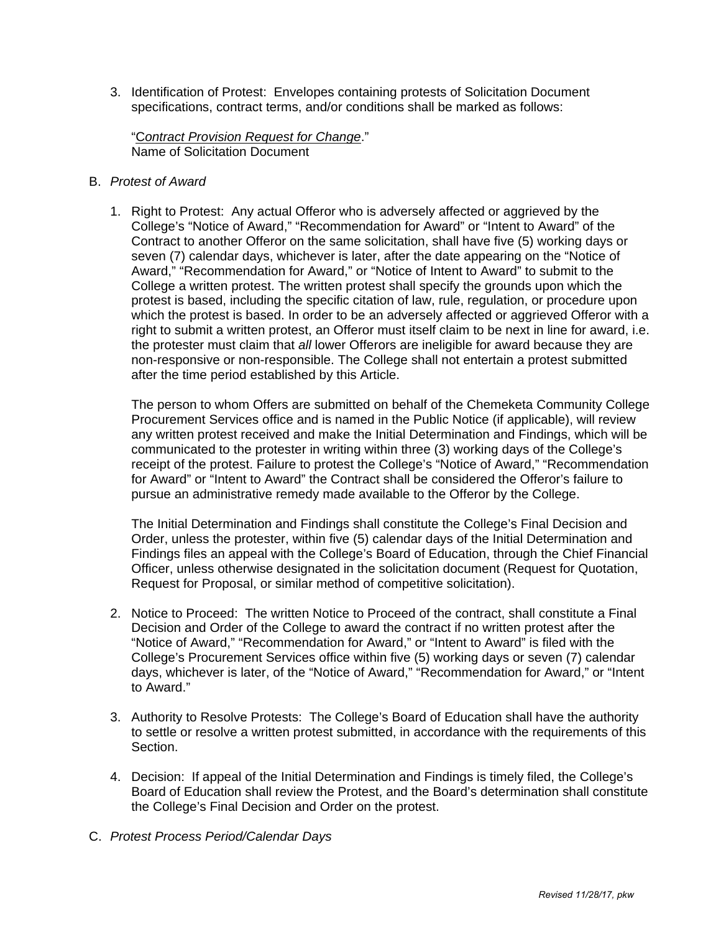3. Identification of Protest: Envelopes containing protests of Solicitation Document specifications, contract terms, and/or conditions shall be marked as follows:

"C*ontract Provision Request for Change*." Name of Solicitation Document

- B. *Protest of Award*
	- 1. Right to Protest: Any actual Offeror who is adversely affected or aggrieved by the College's "Notice of Award," "Recommendation for Award" or "Intent to Award" of the Contract to another Offeror on the same solicitation, shall have five (5) working days or seven (7) calendar days, whichever is later, after the date appearing on the "Notice of Award," "Recommendation for Award," or "Notice of Intent to Award" to submit to the College a written protest. The written protest shall specify the grounds upon which the protest is based, including the specific citation of law, rule, regulation, or procedure upon which the protest is based. In order to be an adversely affected or aggrieved Offeror with a right to submit a written protest, an Offeror must itself claim to be next in line for award, i.e. the protester must claim that *all* lower Offerors are ineligible for award because they are non-responsive or non-responsible. The College shall not entertain a protest submitted after the time period established by this Article.

The person to whom Offers are submitted on behalf of the Chemeketa Community College Procurement Services office and is named in the Public Notice (if applicable), will review any written protest received and make the Initial Determination and Findings, which will be communicated to the protester in writing within three (3) working days of the College's receipt of the protest. Failure to protest the College's "Notice of Award," "Recommendation for Award" or "Intent to Award" the Contract shall be considered the Offeror's failure to pursue an administrative remedy made available to the Offeror by the College.

The Initial Determination and Findings shall constitute the College's Final Decision and Order, unless the protester, within five (5) calendar days of the Initial Determination and Findings files an appeal with the College's Board of Education, through the Chief Financial Officer, unless otherwise designated in the solicitation document (Request for Quotation, Request for Proposal, or similar method of competitive solicitation).

- 2. Notice to Proceed: The written Notice to Proceed of the contract, shall constitute a Final Decision and Order of the College to award the contract if no written protest after the "Notice of Award," "Recommendation for Award," or "Intent to Award" is filed with the College's Procurement Services office within five (5) working days or seven (7) calendar days, whichever is later, of the "Notice of Award," "Recommendation for Award," or "Intent to Award."
- 3. Authority to Resolve Protests: The College's Board of Education shall have the authority to settle or resolve a written protest submitted, in accordance with the requirements of this Section.
- 4. Decision: If appeal of the Initial Determination and Findings is timely filed, the College's Board of Education shall review the Protest, and the Board's determination shall constitute the College's Final Decision and Order on the protest.
- C. *Protest Process Period/Calendar Days*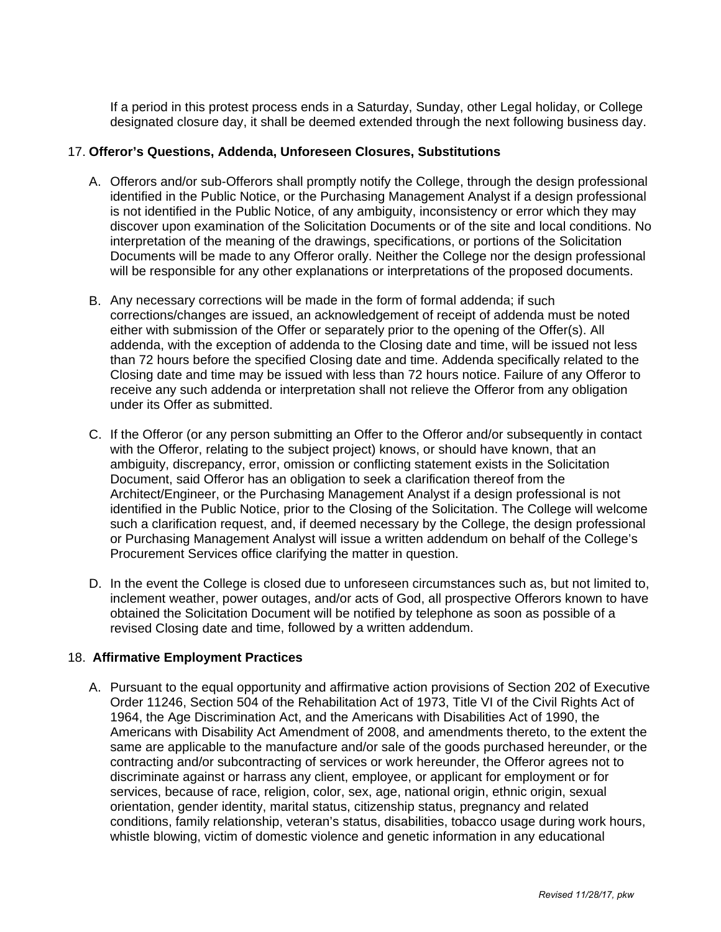If a period in this protest process ends in a Saturday, Sunday, other Legal holiday, or College designated closure day, it shall be deemed extended through the next following business day.

### 17. **Offeror's Questions, Addenda, Unforeseen Closures, Substitutions**

- A. Offerors and/or sub-Offerors shall promptly notify the College, through the design professional identified in the Public Notice, or the Purchasing Management Analyst if a design professional is not identified in the Public Notice, of any ambiguity, inconsistency or error which they may discover upon examination of the Solicitation Documents or of the site and local conditions. No interpretation of the meaning of the drawings, specifications, or portions of the Solicitation Documents will be made to any Offeror orally. Neither the College nor the design professional will be responsible for any other explanations or interpretations of the proposed documents.
- B. Any necessary corrections will be made in the form of formal addenda; if such corrections/changes are issued, an acknowledgement of receipt of addenda must be noted either with submission of the Offer or separately prior to the opening of the Offer(s). All addenda, with the exception of addenda to the Closing date and time, will be issued not less than 72 hours before the specified Closing date and time. Addenda specifically related to the Closing date and time may be issued with less than 72 hours notice. Failure of any Offeror to receive any such addenda or interpretation shall not relieve the Offeror from any obligation under its Offer as submitted.
- C. If the Offeror (or any person submitting an Offer to the Offeror and/or subsequently in contact with the Offeror, relating to the subject project) knows, or should have known, that an ambiguity, discrepancy, error, omission or conflicting statement exists in the Solicitation Document, said Offeror has an obligation to seek a clarification thereof from the Architect/Engineer, or the Purchasing Management Analyst if a design professional is not identified in the Public Notice, prior to the Closing of the Solicitation. The College will welcome such a clarification request, and, if deemed necessary by the College, the design professional or Purchasing Management Analyst will issue a written addendum on behalf of the College's Procurement Services office clarifying the matter in question.
- D. In the event the College is closed due to unforeseen circumstances such as, but not limited to, inclement weather, power outages, and/or acts of God, all prospective Offerors known to have obtained the Solicitation Document will be notified by telephone as soon as possible of a revised Closing date and time, followed by a written addendum.

# 18. **Affirmative Employment Practices**

A. Pursuant to the equal opportunity and affirmative action provisions of Section 202 of Executive Order 11246, Section 504 of the Rehabilitation Act of 1973, Title VI of the Civil Rights Act of 1964, the Age Discrimination Act, and the Americans with Disabilities Act of 1990, the Americans with Disability Act Amendment of 2008, and amendments thereto, to the extent the same are applicable to the manufacture and/or sale of the goods purchased hereunder, or the contracting and/or subcontracting of services or work hereunder, the Offeror agrees not to discriminate against or harrass any client, employee, or applicant for employment or for services, because of race, religion, color, sex, age, national origin, ethnic origin, sexual orientation, gender identity, marital status, citizenship status, pregnancy and related conditions, family relationship, veteran's status, disabilities, tobacco usage during work hours, whistle blowing, victim of domestic violence and genetic information in any educational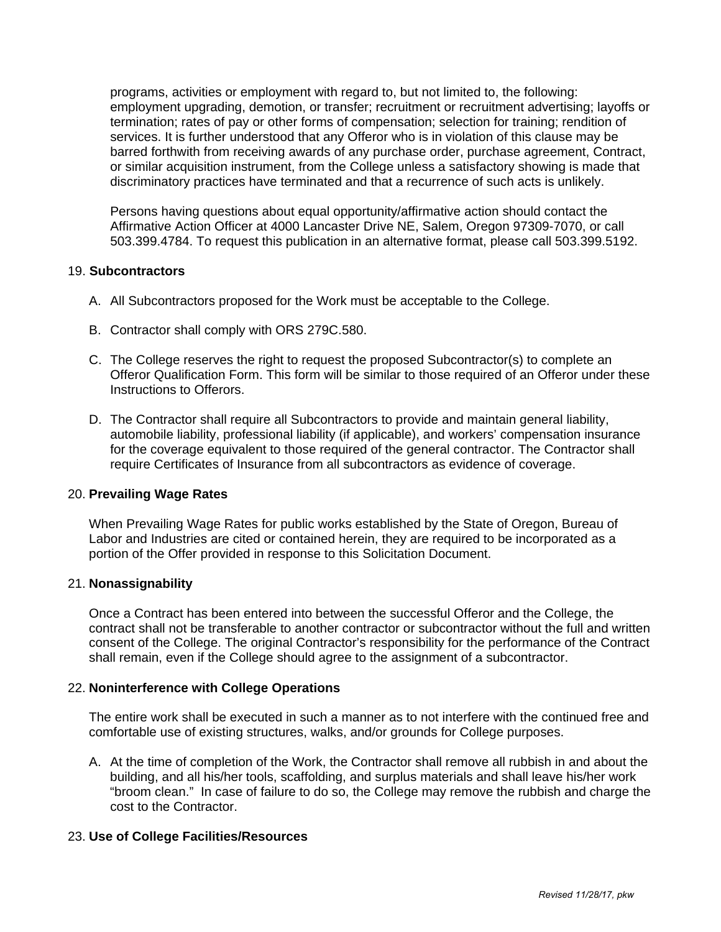programs, activities or employment with regard to, but not limited to, the following: employment upgrading, demotion, or transfer; recruitment or recruitment advertising; layoffs or termination; rates of pay or other forms of compensation; selection for training; rendition of services. It is further understood that any Offeror who is in violation of this clause may be barred forthwith from receiving awards of any purchase order, purchase agreement, Contract, or similar acquisition instrument, from the College unless a satisfactory showing is made that discriminatory practices have terminated and that a recurrence of such acts is unlikely.

Persons having questions about equal opportunity/affirmative action should contact the Affirmative Action Officer at 4000 Lancaster Drive NE, Salem, Oregon 97309-7070, or call 503.399.4784. To request this publication in an alternative format, please call 503.399.5192.

# 19. **Subcontractors**

- A. All Subcontractors proposed for the Work must be acceptable to the College.
- B. Contractor shall comply with ORS 279C.580.
- C. The College reserves the right to request the proposed Subcontractor(s) to complete an Offeror Qualification Form. This form will be similar to those required of an Offeror under these Instructions to Offerors.
- D. The Contractor shall require all Subcontractors to provide and maintain general liability, automobile liability, professional liability (if applicable), and workers' compensation insurance for the coverage equivalent to those required of the general contractor. The Contractor shall require Certificates of Insurance from all subcontractors as evidence of coverage.

### 20. **Prevailing Wage Rates**

When Prevailing Wage Rates for public works established by the State of Oregon, Bureau of Labor and Industries are cited or contained herein, they are required to be incorporated as a portion of the Offer provided in response to this Solicitation Document.

### 21. **Nonassignability**

Once a Contract has been entered into between the successful Offeror and the College, the contract shall not be transferable to another contractor or subcontractor without the full and written consent of the College. The original Contractor's responsibility for the performance of the Contract shall remain, even if the College should agree to the assignment of a subcontractor.

### 22. **Noninterference with College Operations**

The entire work shall be executed in such a manner as to not interfere with the continued free and comfortable use of existing structures, walks, and/or grounds for College purposes.

A. At the time of completion of the Work, the Contractor shall remove all rubbish in and about the building, and all his/her tools, scaffolding, and surplus materials and shall leave his/her work "broom clean." In case of failure to do so, the College may remove the rubbish and charge the cost to the Contractor.

# 23. **Use of College Facilities/Resources**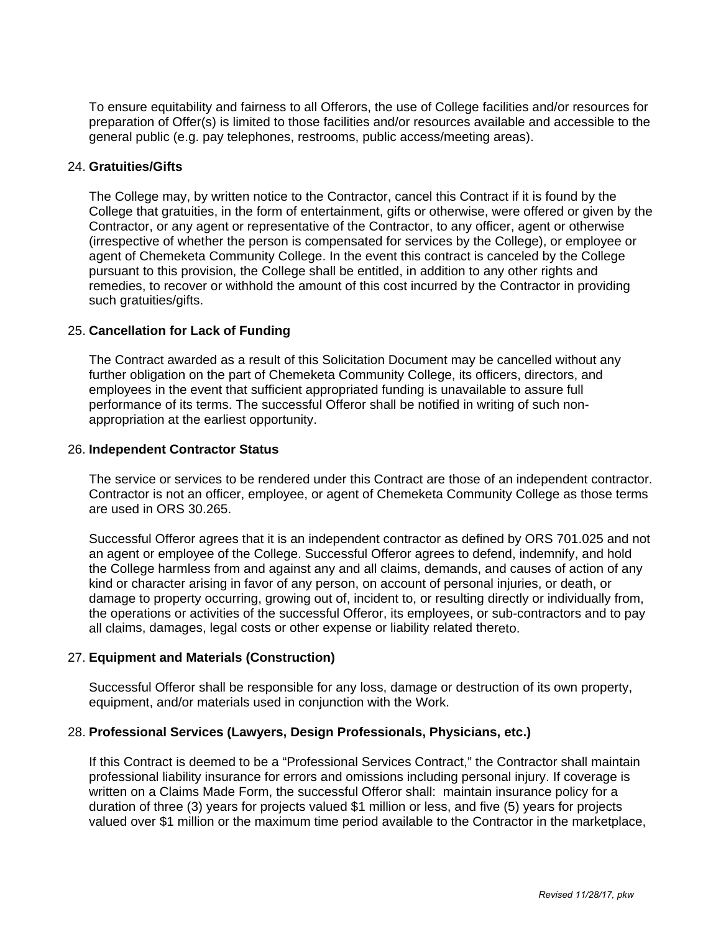To ensure equitability and fairness to all Offerors, the use of College facilities and/or resources for preparation of Offer(s) is limited to those facilities and/or resources available and accessible to the general public (e.g. pay telephones, restrooms, public access/meeting areas).

### 24. **Gratuities/Gifts**

The College may, by written notice to the Contractor, cancel this Contract if it is found by the College that gratuities, in the form of entertainment, gifts or otherwise, were offered or given by the Contractor, or any agent or representative of the Contractor, to any officer, agent or otherwise (irrespective of whether the person is compensated for services by the College), or employee or agent of Chemeketa Community College. In the event this contract is canceled by the College pursuant to this provision, the College shall be entitled, in addition to any other rights and remedies, to recover or withhold the amount of this cost incurred by the Contractor in providing such gratuities/gifts.

### 25. **Cancellation for Lack of Funding**

The Contract awarded as a result of this Solicitation Document may be cancelled without any further obligation on the part of Chemeketa Community College, its officers, directors, and employees in the event that sufficient appropriated funding is unavailable to assure full performance of its terms. The successful Offeror shall be notified in writing of such nonappropriation at the earliest opportunity.

### 26. **Independent Contractor Status**

The service or services to be rendered under this Contract are those of an independent contractor. Contractor is not an officer, employee, or agent of Chemeketa Community College as those terms are used in ORS 30.265.

Successful Offeror agrees that it is an independent contractor as defined by ORS 701.025 and not an agent or employee of the College. Successful Offeror agrees to defend, indemnify, and hold the College harmless from and against any and all claims, demands, and causes of action of any kind or character arising in favor of any person, on account of personal injuries, or death, or damage to property occurring, growing out of, incident to, or resulting directly or individually from, the operations or activities of the successful Offeror, its employees, or sub-contractors and to pay all claims, damages, legal costs or other expense or liability related thereto.

### 27. **Equipment and Materials (Construction)**

Successful Offeror shall be responsible for any loss, damage or destruction of its own property, equipment, and/or materials used in conjunction with the Work.

### 28. **Professional Services (Lawyers, Design Professionals, Physicians, etc.)**

If this Contract is deemed to be a "Professional Services Contract," the Contractor shall maintain professional liability insurance for errors and omissions including personal injury. If coverage is written on a Claims Made Form, the successful Offeror shall: maintain insurance policy for a duration of three (3) years for projects valued \$1 million or less, and five (5) years for projects valued over \$1 million or the maximum time period available to the Contractor in the marketplace,